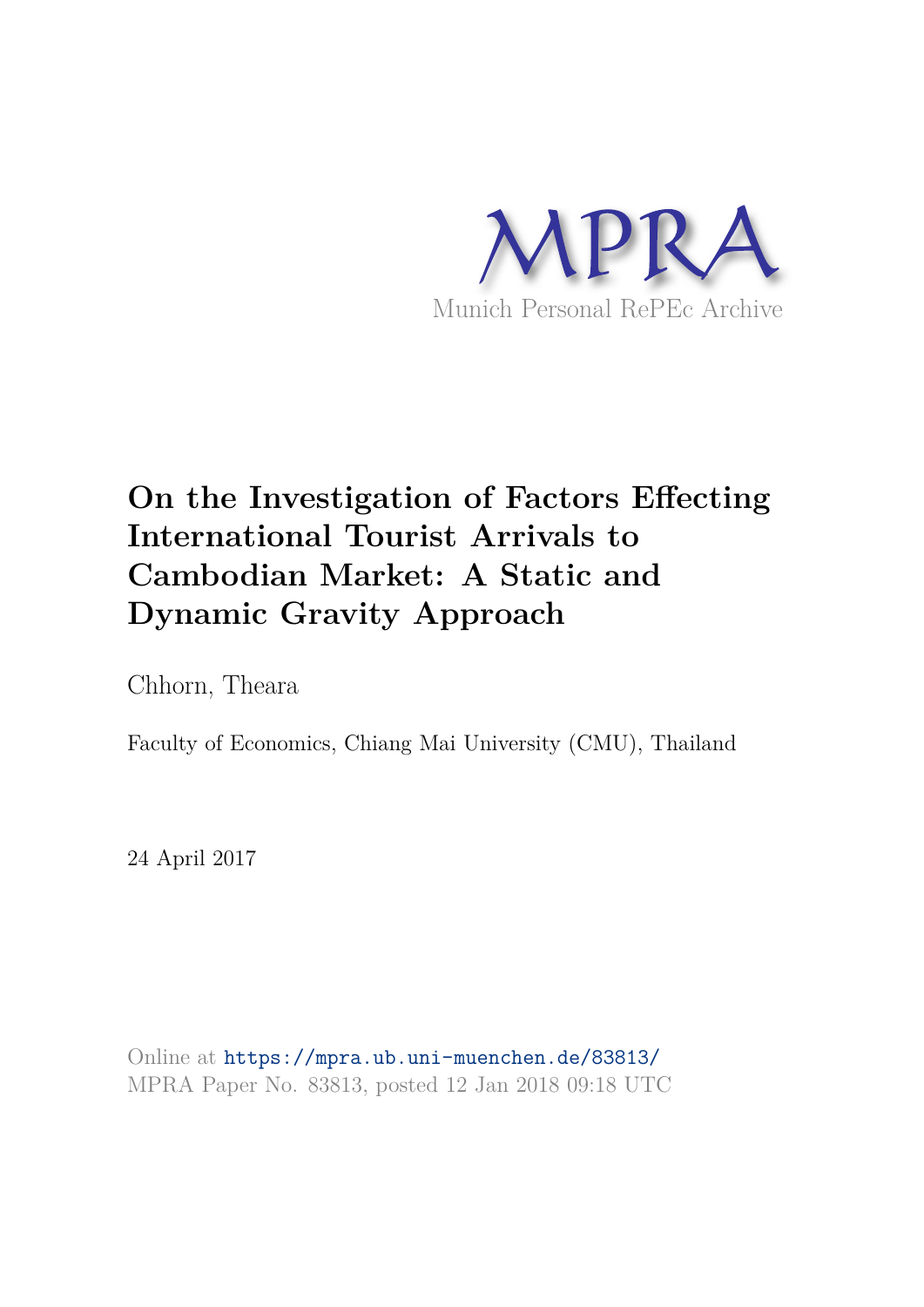

# **On the Investigation of Factors Effecting International Tourist Arrivals to Cambodian Market: A Static and Dynamic Gravity Approach**

Chhorn, Theara

Faculty of Economics, Chiang Mai University (CMU), Thailand

24 April 2017

Online at https://mpra.ub.uni-muenchen.de/83813/ MPRA Paper No. 83813, posted 12 Jan 2018 09:18 UTC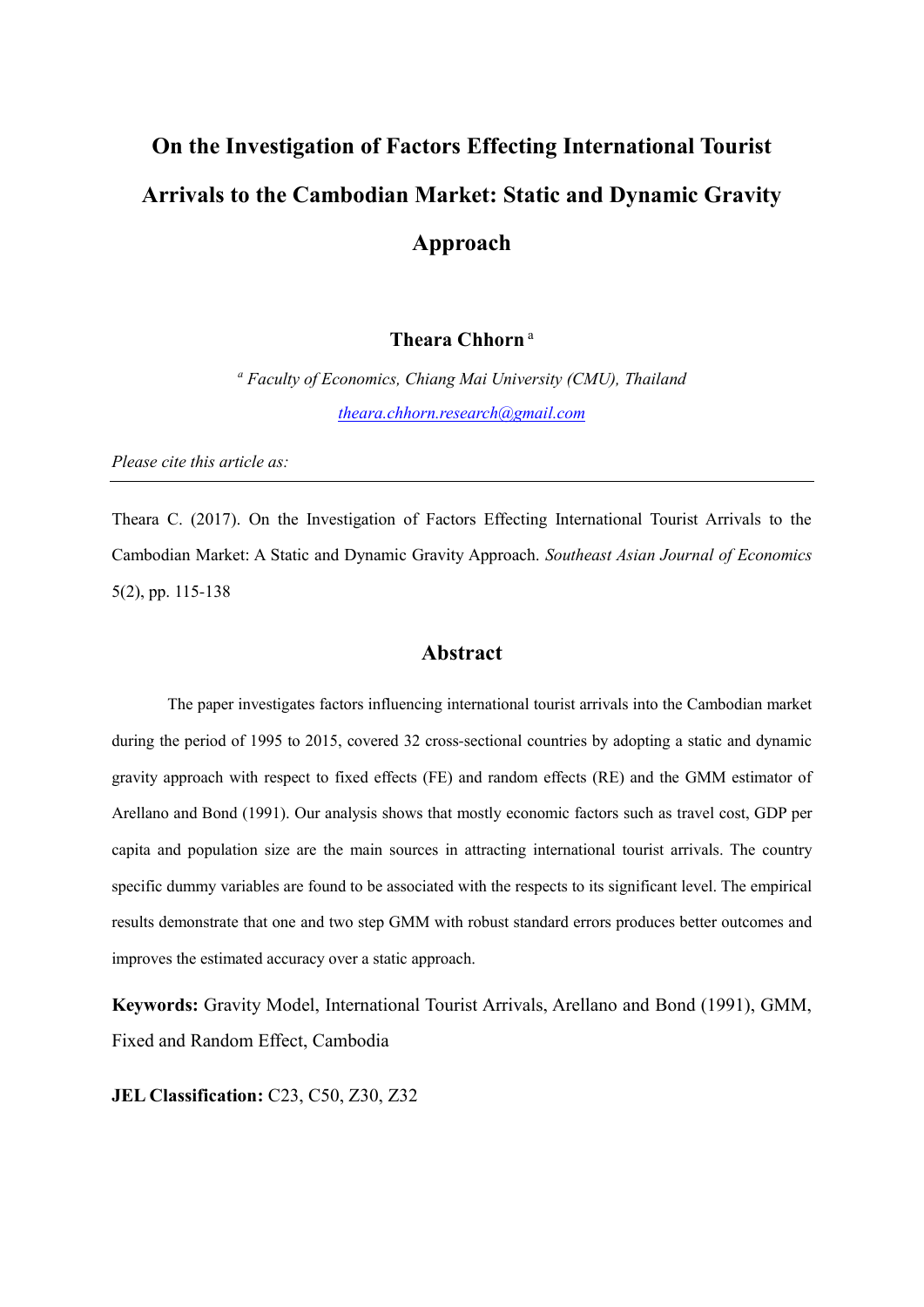# **On the Investigation of Factors Effecting International Tourist Arrivals to the Cambodian Market: Static and Dynamic Gravity Approach**

# **Theara Chhorn**<sup>a</sup>

*a Faculty of Economics, Chiang Mai University (CMU), Thailand [theara.chhorn.research@gmail.com](mailto:theara.chhorn.research@gmail.com)*

*Please cite this article as:* 

Theara C. (2017). On the Investigation of Factors Effecting International Tourist Arrivals to the Cambodian Market: A Static and Dynamic Gravity Approach. *Southeast Asian Journal of Economics* 5(2), pp. 115-138

#### **Abstract**

The paper investigates factors influencing international tourist arrivals into the Cambodian market during the period of 1995 to 2015, covered 32 cross-sectional countries by adopting a static and dynamic gravity approach with respect to fixed effects (FE) and random effects (RE) and the GMM estimator of Arellano and Bond (1991). Our analysis shows that mostly economic factors such as travel cost, GDP per capita and population size are the main sources in attracting international tourist arrivals. The country specific dummy variables are found to be associated with the respects to its significant level. The empirical results demonstrate that one and two step GMM with robust standard errors produces better outcomes and improves the estimated accuracy over a static approach.

**Keywords:** Gravity Model, International Tourist Arrivals, Arellano and Bond (1991), GMM, Fixed and Random Effect, Cambodia

**JEL Classification:** C23, C50, Z30, Z32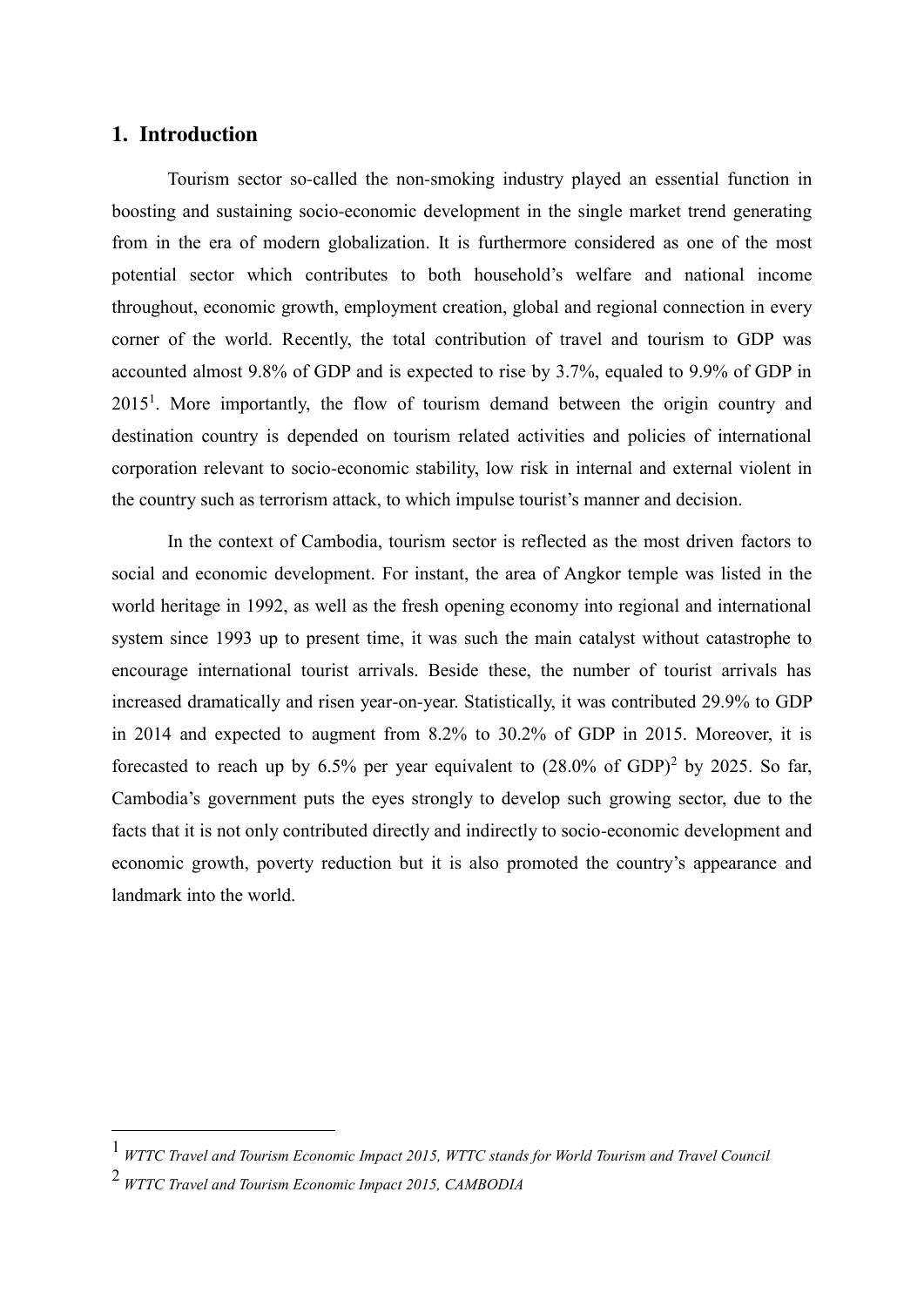# **1. Introduction**

Tourism sector so-called the non-smoking industry played an essential function in boosting and sustaining socio-economic development in the single market trend generating from in the era of modern globalization. It is furthermore considered as one of the most potential sector which contributes to both household's welfare and national income throughout, economic growth, employment creation, global and regional connection in every corner of the world. Recently, the total contribution of travel and tourism to GDP was accounted almost 9.8% of GDP and is expected to rise by 3.7%, equaled to 9.9% of GDP in 2015<sup>1</sup> . More importantly, the flow of tourism demand between the origin country and destination country is depended on tourism related activities and policies of international corporation relevant to socio-economic stability, low risk in internal and external violent in the country such as terrorism attack, to which impulse tourist's manner and decision.

In the context of Cambodia, tourism sector is reflected as the most driven factors to social and economic development. For instant, the area of Angkor temple was listed in the world heritage in 1992, as well as the fresh opening economy into regional and international system since 1993 up to present time, it was such the main catalyst without catastrophe to encourage international tourist arrivals. Beside these, the number of tourist arrivals has increased dramatically and risen year-on-year. Statistically, it was contributed 29.9% to GDP in 2014 and expected to augment from 8.2% to 30.2% of GDP in 2015. Moreover, it is forecasted to reach up by 6.5% per year equivalent to  $(28.0\% \text{ of GDP})^2$  by 2025. So far, Cambodia's government puts the eyes strongly to develop such growing sector, due to the facts that it is not only contributed directly and indirectly to socio-economic development and economic growth, poverty reduction but it is also promoted the country's appearance and landmark into the world.

-

<sup>1</sup> *WTTC Travel and Tourism Economic Impact 2015, WTTC stands for World Tourism and Travel Council* 

<sup>2</sup> *WTTC Travel and Tourism Economic Impact 2015, CAMBODIA*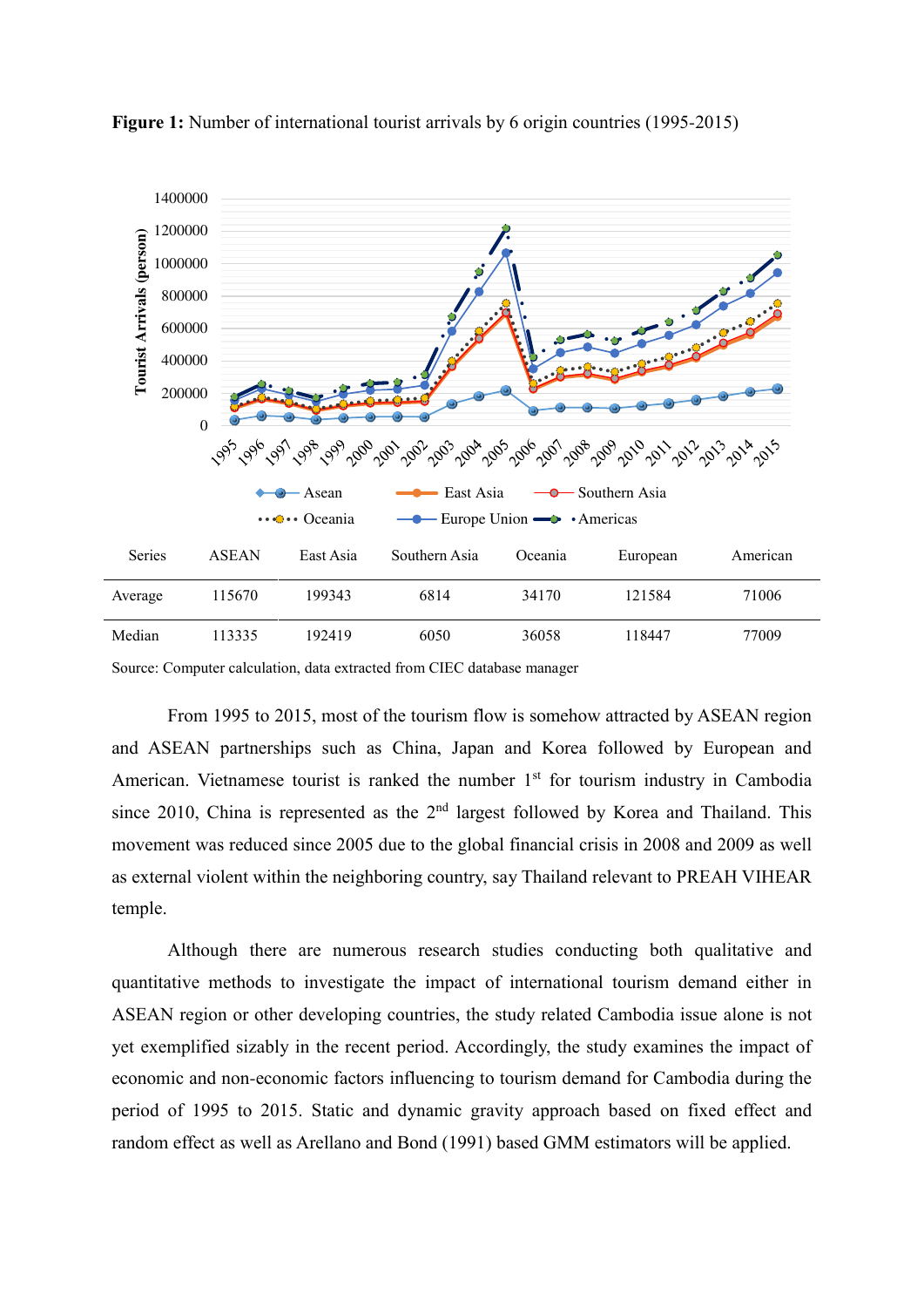

**Figure 1:** Number of international tourist arrivals by 6 origin countries (1995-2015)

Source: Computer calculation, data extracted from CIEC database manager

From 1995 to 2015, most of the tourism flow is somehow attracted by ASEAN region and ASEAN partnerships such as China, Japan and Korea followed by European and American. Vietnamese tourist is ranked the number  $1<sup>st</sup>$  for tourism industry in Cambodia since 2010, China is represented as the  $2<sup>nd</sup>$  largest followed by Korea and Thailand. This movement was reduced since 2005 due to the global financial crisis in 2008 and 2009 as well as external violent within the neighboring country, say Thailand relevant to PREAH VIHEAR temple.

Although there are numerous research studies conducting both qualitative and quantitative methods to investigate the impact of international tourism demand either in ASEAN region or other developing countries, the study related Cambodia issue alone is not yet exemplified sizably in the recent period. Accordingly, the study examines the impact of economic and non-economic factors influencing to tourism demand for Cambodia during the period of 1995 to 2015. Static and dynamic gravity approach based on fixed effect and random effect as well as Arellano and Bond (1991) based GMM estimators will be applied.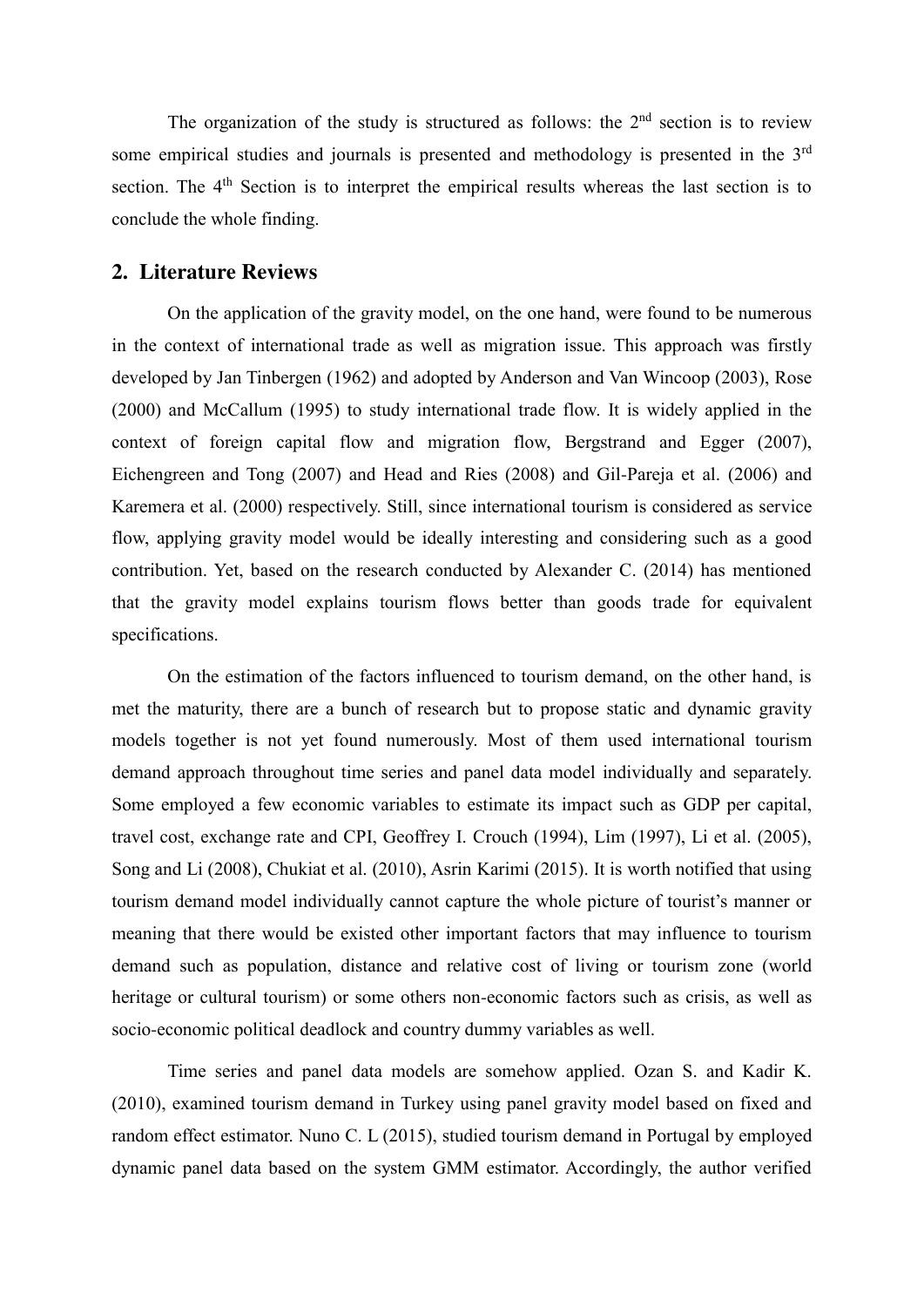The organization of the study is structured as follows: the  $2<sup>nd</sup>$  section is to review some empirical studies and journals is presented and methodology is presented in the 3<sup>rd</sup> section. The 4<sup>th</sup> Section is to interpret the empirical results whereas the last section is to conclude the whole finding.

# **2. Literature Reviews**

On the application of the gravity model, on the one hand, were found to be numerous in the context of international trade as well as migration issue. This approach was firstly developed by Jan Tinbergen (1962) and adopted by Anderson and Van Wincoop (2003), Rose (2000) and McCallum (1995) to study international trade flow. It is widely applied in the context of foreign capital flow and migration flow, Bergstrand and Egger (2007), Eichengreen and Tong (2007) and Head and Ries (2008) and Gil-Pareja et al. (2006) and Karemera et al. (2000) respectively. Still, since international tourism is considered as service flow, applying gravity model would be ideally interesting and considering such as a good contribution. Yet, based on the research conducted by Alexander C. (2014) has mentioned that the gravity model explains tourism flows better than goods trade for equivalent specifications.

On the estimation of the factors influenced to tourism demand, on the other hand, is met the maturity, there are a bunch of research but to propose static and dynamic gravity models together is not yet found numerously. Most of them used international tourism demand approach throughout time series and panel data model individually and separately. Some employed a few economic variables to estimate its impact such as GDP per capital, travel cost, exchange rate and CPI, Geoffrey I. Crouch (1994), Lim (1997), Li et al. (2005), Song and Li (2008), Chukiat et al. (2010), Asrin Karimi (2015). It is worth notified that using tourism demand model individually cannot capture the whole picture of tourist's manner or meaning that there would be existed other important factors that may influence to tourism demand such as population, distance and relative cost of living or tourism zone (world heritage or cultural tourism) or some others non-economic factors such as crisis, as well as socio-economic political deadlock and country dummy variables as well.

Time series and panel data models are somehow applied. Ozan S. and Kadir K. (2010), examined tourism demand in Turkey using panel gravity model based on fixed and random effect estimator. Nuno C. L (2015), studied tourism demand in Portugal by employed dynamic panel data based on the system GMM estimator. Accordingly, the author verified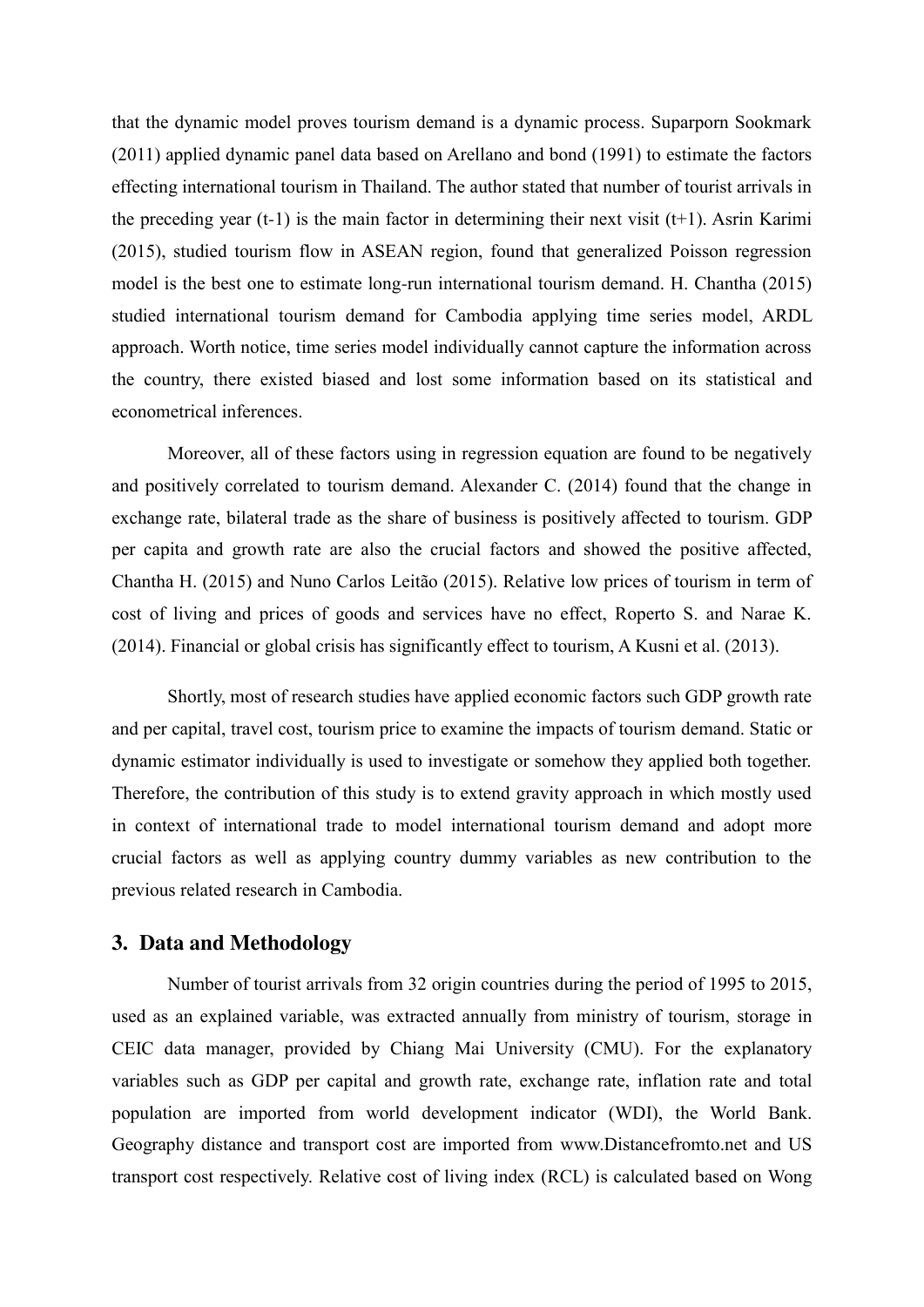that the dynamic model proves tourism demand is a dynamic process. Suparporn Sookmark (2011) applied dynamic panel data based on Arellano and bond (1991) to estimate the factors effecting international tourism in Thailand. The author stated that number of tourist arrivals in the preceding year  $(t-1)$  is the main factor in determining their next visit  $(t+1)$ . Asrin Karimi (2015), studied tourism flow in ASEAN region, found that generalized Poisson regression model is the best one to estimate long-run international tourism demand. H. Chantha (2015) studied international tourism demand for Cambodia applying time series model, ARDL approach. Worth notice, time series model individually cannot capture the information across the country, there existed biased and lost some information based on its statistical and econometrical inferences.

Moreover, all of these factors using in regression equation are found to be negatively and positively correlated to tourism demand. Alexander C. (2014) found that the change in exchange rate, bilateral trade as the share of business is positively affected to tourism. GDP per capita and growth rate are also the crucial factors and showed the positive affected, Chantha H. (2015) and Nuno Carlos Leitão (2015). Relative low prices of tourism in term of cost of living and prices of goods and services have no effect, Roperto S. and Narae K. (2014). Financial or global crisis has significantly effect to tourism, A Kusni et al. (2013).

Shortly, most of research studies have applied economic factors such GDP growth rate and per capital, travel cost, tourism price to examine the impacts of tourism demand. Static or dynamic estimator individually is used to investigate or somehow they applied both together. Therefore, the contribution of this study is to extend gravity approach in which mostly used in context of international trade to model international tourism demand and adopt more crucial factors as well as applying country dummy variables as new contribution to the previous related research in Cambodia.

### **3. Data and Methodology**

Number of tourist arrivals from 32 origin countries during the period of 1995 to 2015, used as an explained variable, was extracted annually from ministry of tourism, storage in CEIC data manager, provided by Chiang Mai University (CMU). For the explanatory variables such as GDP per capital and growth rate, exchange rate, inflation rate and total population are imported from world development indicator (WDI), the World Bank. Geography distance and transport cost are imported from [www.Distancefromto.net](http://www.distancefromto.net/) and US transport cost respectively. Relative cost of living index (RCL) is calculated based on Wong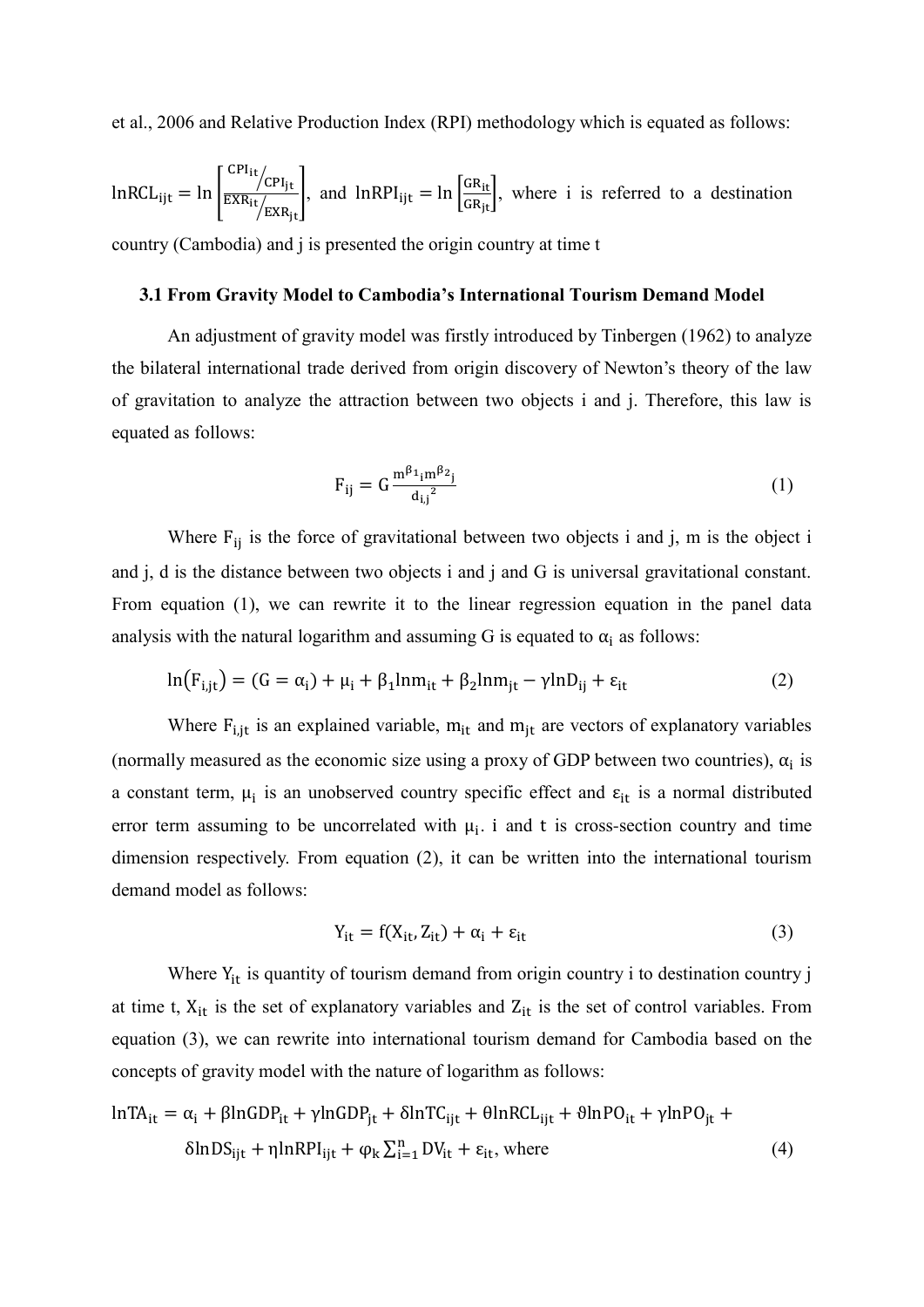et al., 2006 and Relative Production Index (RPI) methodology which is equated as follows:

$$
ln RCL_{ijt} = ln \left[ \frac{cPI_{it}}{EXR_{it}} / cPI_{jt}} \right]
$$
, and  $ln RPI_{ijt} = ln \left[ \frac{GR_{it}}{GR_{jt}} \right]$ , where i is referred to a destination  
country (Cambodia) and j is presented the origin country at time t

## **3.1 From Gravity Model to Cambodia's International Tourism Demand Model**

An adjustment of gravity model was firstly introduced by Tinbergen (1962) to analyze the bilateral international trade derived from origin discovery of Newton's theory of the law of gravitation to analyze the attraction between two objects i and j. Therefore, this law is equated as follows:

$$
F_{ij} = G \frac{m^{\beta_1} m^{\beta_2} j}{d_{i,j}^2}
$$
 (1)

Where  $F_{ij}$  is the force of gravitational between two objects i and j, m is the object i and j, d is the distance between two objects i and j and G is universal gravitational constant. From equation (1), we can rewrite it to the linear regression equation in the panel data analysis with the natural logarithm and assuming G is equated to  $\alpha_i$  as follows:

$$
\ln(F_{i,jt}) = (G = \alpha_i) + \mu_i + \beta_1 \ln m_{it} + \beta_2 \ln m_{jt} - \gamma \ln D_{ij} + \varepsilon_{it}
$$
 (2)

Where  $F_{i, it}$  is an explained variable,  $m_{it}$  and  $m_{it}$  are vectors of explanatory variables (normally measured as the economic size using a proxy of GDP between two countries),  $\alpha_i$  is a constant term,  $\mu_i$  is an unobserved country specific effect and  $\varepsilon_{it}$  is a normal distributed error term assuming to be uncorrelated with  $\mu_i$ . i and t is cross-section country and time dimension respectively. From equation (2), it can be written into the international tourism demand model as follows:

$$
Y_{it} = f(X_{it}, Z_{it}) + \alpha_i + \varepsilon_{it}
$$
\n(3)

Where  $Y_{it}$  is quantity of tourism demand from origin country i to destination country j at time t,  $X_{it}$  is the set of explanatory variables and  $Z_{it}$  is the set of control variables. From equation (3), we can rewrite into international tourism demand for Cambodia based on the concepts of gravity model with the nature of logarithm as follows:

$$
\ln TA_{it} = \alpha_i + \beta \ln GDP_{it} + \gamma \ln GDP_{jt} + \delta \ln TC_{ijt} + \theta \ln RCL_{ijt} + \theta \ln PO_{it} + \gamma \ln PO_{jt} + \delta \ln DS_{ijt} + \eta \ln RPI_{ijt} + \varphi_k \sum_{i=1}^{n} DV_{it} + \varepsilon_{it}
$$
\n(4)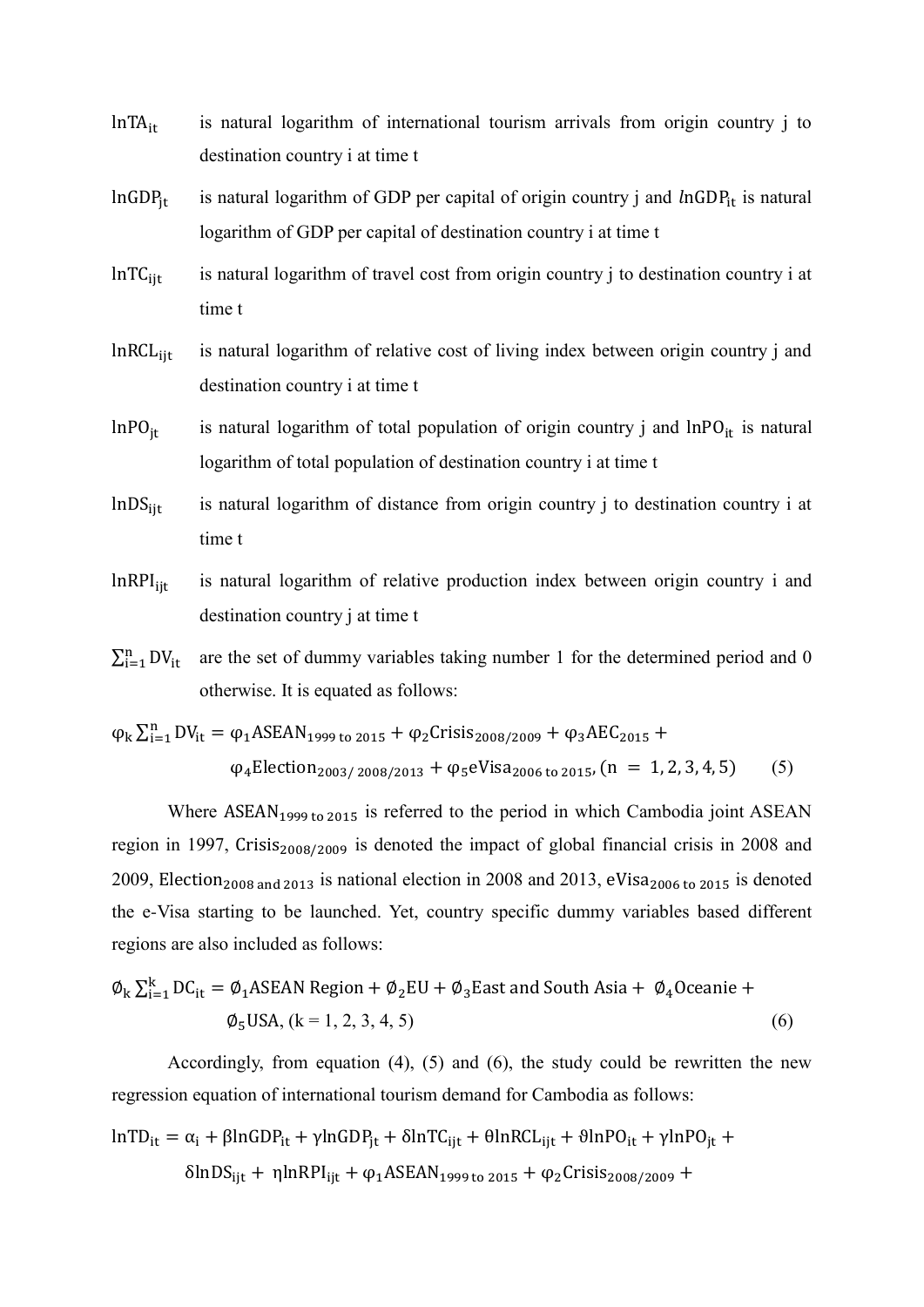- $lnTA_{it}$  is natural logarithm of international tourism arrivals from origin country j to destination country i at time t
- $ln GDP_{it}$  is natural logarithm of GDP per capital of origin country j and  $ln GDP_{it}$  is natural logarithm of GDP per capital of destination country i at time t
- lnTC<sub>iit</sub> is natural logarithm of travel cost from origin country j to destination country i at time t
- lnRCLijt is natural logarithm of relative cost of living index between origin country j and destination country i at time t
- $lnPO_{it}$  is natural logarithm of total population of origin country j and  $lnPO_{it}$  is natural logarithm of total population of destination country i at time t
- $lnDS<sub>ii</sub>$  is natural logarithm of distance from origin country j to destination country i at time t
- lnRPI<sub>iit</sub> is natural logarithm of relative production index between origin country i and destination country j at time t
- $\sum_{i=1}^{n} DV_{it}$ are the set of dummy variables taking number 1 for the determined period and  $0$ otherwise. It is equated as follows:

$$
\varphi_{k} \sum_{i=1}^{n} DV_{it} = \varphi_{1}ASEAN_{1999 \text{ to } 2015} + \varphi_{2}Crisis_{2008/2009} + \varphi_{3}AEC_{2015} + \varphi_{4}Election_{2003/2008/2013} + \varphi_{5}eVisa_{2006 \text{ to } 2015} (n = 1, 2, 3, 4, 5)
$$
 (5)

Where  $ASEAN<sub>1999 to 2015</sub>$  is referred to the period in which Cambodia joint ASEAN region in 1997, Crisis<sub>2008/2009</sub> is denoted the impact of global financial crisis in 2008 and 2009, Election<sub>2008 and 2013</sub> is national election in 2008 and 2013, eVisa<sub>2006 to 2015</sub> is denoted the e-Visa starting to be launched. Yet, country specific dummy variables based different regions are also included as follows:

$$
\phi_{k} \sum_{i=1}^{k} DC_{it} = \phi_{1} ASEAN Region + \phi_{2} EU + \phi_{3} East and South Asia + \phi_{4} Oceanie + \phi_{5} USA, (k = 1, 2, 3, 4, 5)
$$
\n
$$
(6)
$$

Accordingly, from equation (4), (5) and (6), the study could be rewritten the new regression equation of international tourism demand for Cambodia as follows:

$$
lnTD_{it} = \alpha_i + \beta lnGDP_{it} + \gamma lnGDP_{jt} + \delta lnTC_{ijt} + \theta lnRCL_{ijt} + \theta lnPO_{it} + \gamma lnPO_{jt} + \delta lnDS_{ijt} + \eta lnRPI_{ijt} + \varphi_1 ASEAN_{1999 \text{ to } 2015} + \varphi_2 Crisis_{2008/2009} +
$$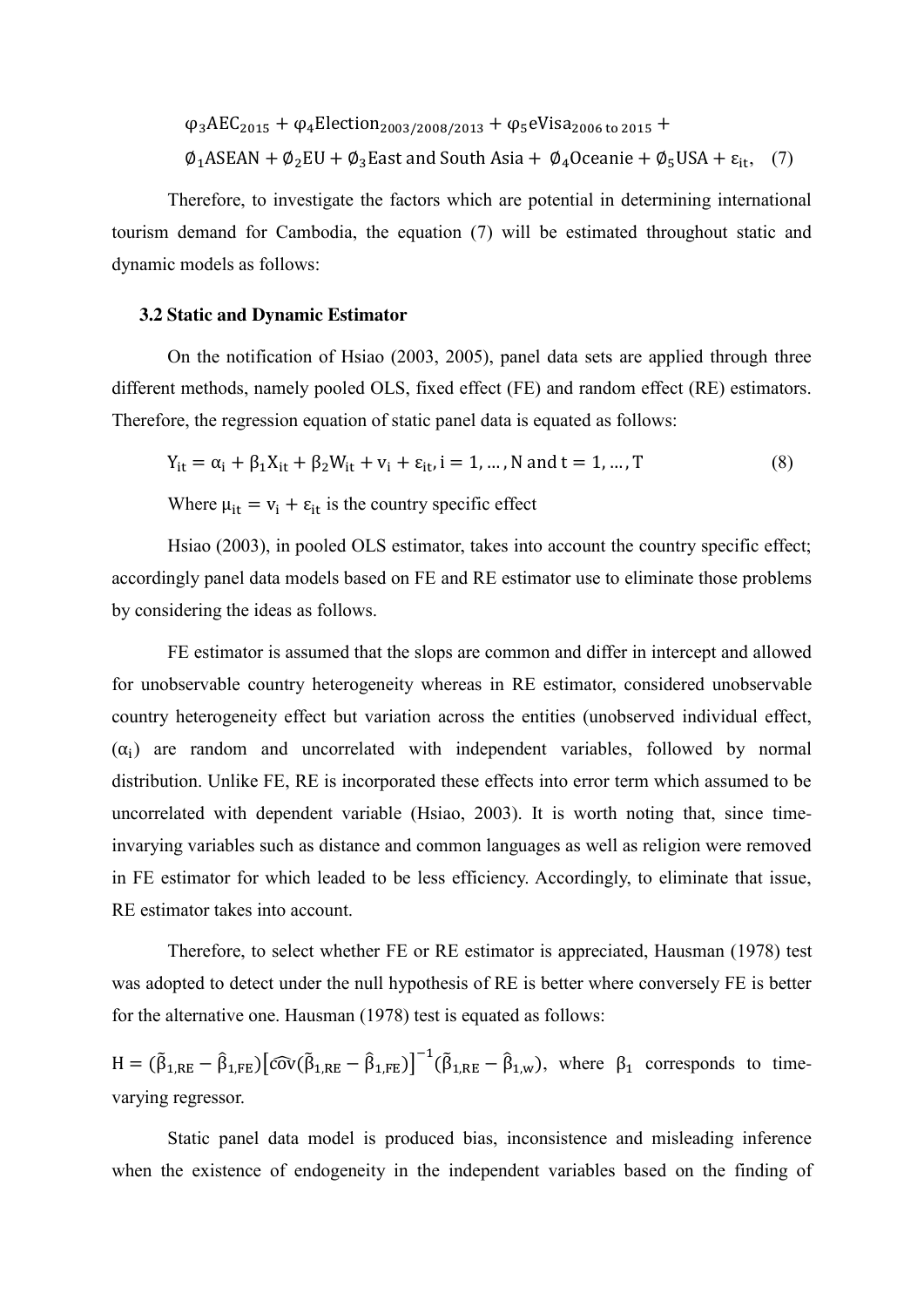$\varphi_3AEC_{2015} + \varphi_4Election_{2003/2008/2013} + \varphi_5eVisa_{2006 \text{ to } 2015} +$  $\phi_1$ ASEAN +  $\phi_2$ EU +  $\phi_3$ East and South Asia +  $\phi_4$ Oceanie +  $\phi_5$ USA +  $\varepsilon_{\text{it}}$ , (7)

Therefore, to investigate the factors which are potential in determining international tourism demand for Cambodia, the equation (7) will be estimated throughout static and dynamic models as follows:

#### **3.2 Static and Dynamic Estimator**

On the notification of Hsiao (2003, 2005), panel data sets are applied through three different methods, namely pooled OLS, fixed effect (FE) and random effect (RE) estimators. Therefore, the regression equation of static panel data is equated as follows:

$$
Y_{it} = \alpha_i + \beta_1 X_{it} + \beta_2 W_{it} + v_i + \varepsilon_{it}, i = 1, ..., N \text{ and } t = 1, ..., T
$$
 (8)

Where  $\mu_{it} = v_i + \varepsilon_{it}$  is the country specific effect

Hsiao (2003), in pooled OLS estimator, takes into account the country specific effect; accordingly panel data models based on FE and RE estimator use to eliminate those problems by considering the ideas as follows.

FE estimator is assumed that the slops are common and differ in intercept and allowed for unobservable country heterogeneity whereas in RE estimator, considered unobservable country heterogeneity effect but variation across the entities (unobserved individual effect,  $(\alpha_i)$  are random and uncorrelated with independent variables, followed by normal distribution. Unlike FE, RE is incorporated these effects into error term which assumed to be uncorrelated with dependent variable (Hsiao, 2003). It is worth noting that, since timeinvarying variables such as distance and common languages as well as religion were removed in FE estimator for which leaded to be less efficiency. Accordingly, to eliminate that issue, RE estimator takes into account.

Therefore, to select whether FE or RE estimator is appreciated, Hausman (1978) test was adopted to detect under the null hypothesis of RE is better where conversely FE is better for the alternative one. Hausman (1978) test is equated as follows:

 $H = (\tilde{\beta}_{1,RE} - \hat{\beta}_{1,FE}) [\tilde{\omega}(\tilde{\beta}_{1,RE} - \hat{\beta}_{1,FE})]^{-1} (\tilde{\beta}_{1,RE} - \hat{\beta}_{1,w}),$  where  $\beta_1$  corresponds to timevarying regressor.

Static panel data model is produced bias, inconsistence and misleading inference when the existence of endogeneity in the independent variables based on the finding of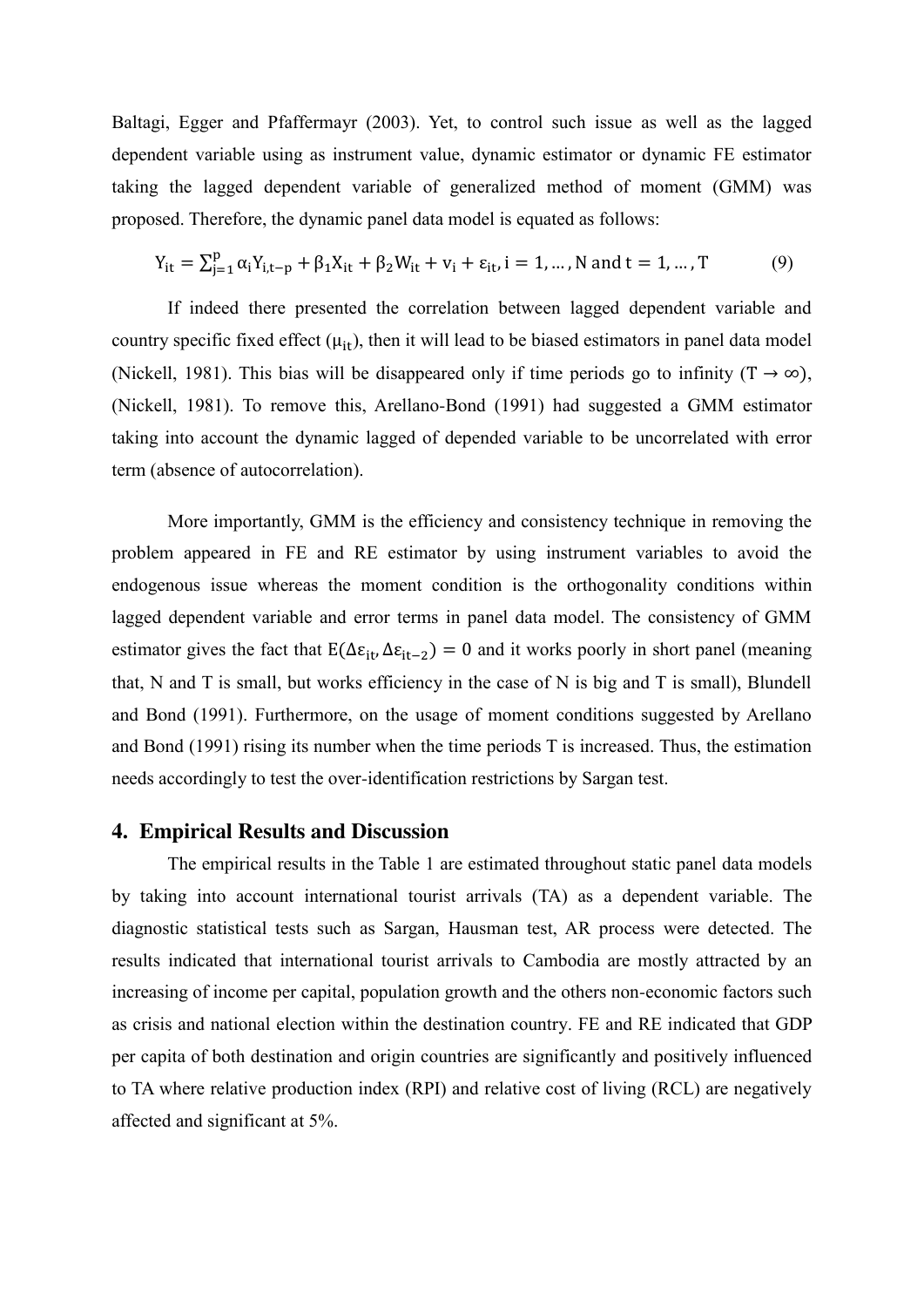Baltagi, Egger and Pfaffermayr (2003). Yet, to control such issue as well as the lagged dependent variable using as instrument value, dynamic estimator or dynamic FE estimator taking the lagged dependent variable of generalized method of moment (GMM) was proposed. Therefore, the dynamic panel data model is equated as follows:

$$
Y_{it} = \sum_{j=1}^{p} \alpha_i Y_{i, t-p} + \beta_1 X_{it} + \beta_2 W_{it} + v_i + \varepsilon_{it}, i = 1, ..., N \text{ and } t = 1, ..., T
$$
 (9)

If indeed there presented the correlation between lagged dependent variable and country specific fixed effect  $(\mu_{it})$ , then it will lead to be biased estimators in panel data model (Nickell, 1981). This bias will be disappeared only if time periods go to infinity (T  $\rightarrow \infty$ ), (Nickell, 1981). To remove this, Arellano-Bond (1991) had suggested a GMM estimator taking into account the dynamic lagged of depended variable to be uncorrelated with error term (absence of autocorrelation).

More importantly, GMM is the efficiency and consistency technique in removing the problem appeared in FE and RE estimator by using instrument variables to avoid the endogenous issue whereas the moment condition is the orthogonality conditions within lagged dependent variable and error terms in panel data model. The consistency of GMM estimator gives the fact that  $E(\Delta \epsilon_{it}, \Delta \epsilon_{it-2}) = 0$  and it works poorly in short panel (meaning that, N and T is small, but works efficiency in the case of N is big and T is small), Blundell and Bond (1991). Furthermore, on the usage of moment conditions suggested by Arellano and Bond (1991) rising its number when the time periods T is increased. Thus, the estimation needs accordingly to test the over-identification restrictions by Sargan test.

### **4. Empirical Results and Discussion**

The empirical results in the Table 1 are estimated throughout static panel data models by taking into account international tourist arrivals (TA) as a dependent variable. The diagnostic statistical tests such as Sargan, Hausman test, AR process were detected. The results indicated that international tourist arrivals to Cambodia are mostly attracted by an increasing of income per capital, population growth and the others non-economic factors such as crisis and national election within the destination country. FE and RE indicated that GDP per capita of both destination and origin countries are significantly and positively influenced to TA where relative production index (RPI) and relative cost of living (RCL) are negatively affected and significant at 5%.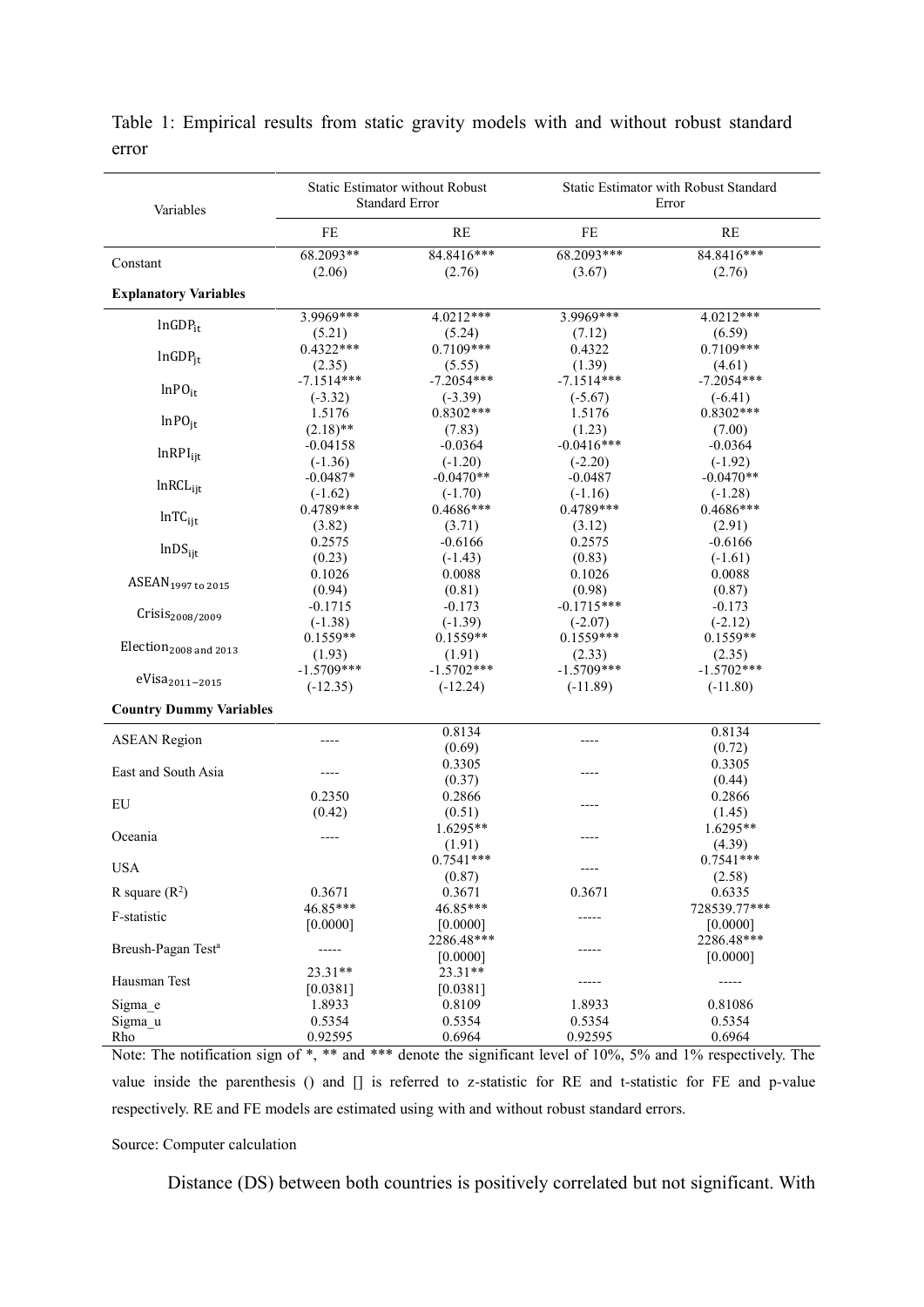| Variables                         |                            | <b>Static Estimator without Robust</b><br><b>Standard Error</b> | <b>Static Estimator with Robust Standard</b><br>Error |                                                                                                               |  |  |
|-----------------------------------|----------------------------|-----------------------------------------------------------------|-------------------------------------------------------|---------------------------------------------------------------------------------------------------------------|--|--|
|                                   | FE                         | RE                                                              | <b>FE</b>                                             | RE                                                                                                            |  |  |
| Constant                          | 68.2093**<br>(2.06)        | 84.8416***<br>(2.76)                                            | 68.2093***<br>(3.67)                                  | 84.8416***<br>(2.76)                                                                                          |  |  |
| <b>Explanatory Variables</b>      |                            |                                                                 |                                                       |                                                                                                               |  |  |
| $ln GDP_{it}$                     | 3.9969***<br>(5.21)        | $4.0212***$<br>(5.24)                                           | 3.9969***<br>(7.12)                                   | 4.0212***<br>(6.59)                                                                                           |  |  |
| $ln GDP_{it}$                     | $0.4322***$<br>(2.35)      | $0.7109***$<br>(5.55)                                           | 0.4322<br>(1.39)                                      | $0.7109***$<br>(4.61)                                                                                         |  |  |
| $lnPO_{it}$                       | $-7.1514***$<br>$(-3.32)$  | $-7.2054***$<br>$(-3.39)$                                       | $-7.1514***$<br>$(-5.67)$                             | $-7.2054***$<br>$(-6.41)$                                                                                     |  |  |
| $lnPO_{it}$                       | 1.5176<br>$(2.18)$ **      | $0.8302***$<br>(7.83)                                           | 1.5176<br>(1.23)                                      | $0.8302***$<br>(7.00)                                                                                         |  |  |
| $lnRPI_{\text{ijt}}$              | $-0.04158$<br>$(-1.36)$    | $-0.0364$<br>$(-1.20)$                                          | $-0.0416***$<br>$(-2.20)$                             | $-0.0364$<br>$(-1.92)$                                                                                        |  |  |
| In RCL <sub>ii</sub>              | $-0.0487*$<br>$(-1.62)$    | $-0.0470**$<br>$(-1.70)$                                        | $-0.0487$<br>$(-1.16)$                                | $-0.0470**$<br>$(-1.28)$                                                                                      |  |  |
| InTC <sub>ii</sub>                | 0.4789***<br>(3.82)        | $0.4686***$<br>(3.71)                                           | 0.4789***<br>(3.12)                                   | $0.4686***$<br>(2.91)                                                                                         |  |  |
| $lnDS_{ijt}$                      | 0.2575<br>(0.23)<br>0.1026 | $-0.6166$<br>$(-1.43)$<br>0.0088                                | 0.2575<br>(0.83)                                      | $-0.6166$<br>$(-1.61)$<br>0.0088                                                                              |  |  |
| ASEAN <sub>1997</sub> to 2015     | (0.94)<br>$-0.1715$        | (0.81)<br>$-0.173$                                              | 0.1026<br>(0.98)<br>$-0.1715***$                      | (0.87)<br>$-0.173$                                                                                            |  |  |
| Crisis <sub>2008/2009</sub>       | $(-1.38)$<br>$0.1559**$    | $(-1.39)$<br>$0.1559**$                                         | $(-2.07)$<br>$0.1559***$                              | $(-2.12)$<br>$0.1559**$                                                                                       |  |  |
| Election <sub>2008</sub> and 2013 | (1.93)<br>$-1.5709***$     | (1.91)<br>$-1.5702***$                                          | (2.33)<br>$-1.5709***$                                | (2.35)<br>$-1.5702***$                                                                                        |  |  |
| eVisa <sub>2011-2015</sub>        | $(-12.35)$                 | $(-12.24)$                                                      | $(-11.89)$                                            | $(-11.80)$                                                                                                    |  |  |
| <b>Country Dummy Variables</b>    |                            |                                                                 |                                                       |                                                                                                               |  |  |
| <b>ASEAN Region</b>               |                            | 0.8134<br>(0.69)                                                |                                                       | 0.8134<br>(0.72)                                                                                              |  |  |
| East and South Asia               |                            | 0.3305<br>(0.37)                                                |                                                       | 0.3305<br>(0.44)                                                                                              |  |  |
| EU                                | 0.2350<br>(0.42)           | 0.2866<br>(0.51)                                                |                                                       | 0.2866<br>(1.45)                                                                                              |  |  |
| Oceania                           | $---$                      | $1.6295**$<br>(1.91)                                            | ----                                                  | 1.6295**<br>(4.39)                                                                                            |  |  |
| <b>USA</b>                        |                            | $0.7541***$<br>(0.87)                                           | $--- -$                                               | $0.7541***$<br>(2.58)                                                                                         |  |  |
| R square $(R^2)$                  | 0.3671<br>46.85***         | 0.3671<br>46.85***                                              | 0.3671                                                | 0.6335<br>728539.77***                                                                                        |  |  |
| F-statistic                       | [0.0000]                   | [0.0000]<br>2286.48***                                          |                                                       | [0.0000]<br>2286.48***                                                                                        |  |  |
| Breush-Pagan Test <sup>a</sup>    | -----<br>$23.31**$         | [0.0000]<br>23.31**                                             |                                                       | [0.0000]                                                                                                      |  |  |
| Hausman Test                      | [0.0381]                   | [0.0381]                                                        |                                                       |                                                                                                               |  |  |
| Sigma e<br>Sigma u                | 1.8933<br>0.5354           | 0.8109<br>0.5354                                                | 1.8933<br>0.5354                                      | 0.81086<br>0.5354                                                                                             |  |  |
| Rho                               | 0.92595                    | 0.6964                                                          | 0.92595                                               | 0.6964                                                                                                        |  |  |
|                                   |                            |                                                                 |                                                       | Note: The notification sign of *, ** and *** denote the significant level of 10%, 5% and 1% respectively. The |  |  |

Table 1: Empirical results from static gravity models with and without robust standard error

value inside the parenthesis () and [] is referred to z-statistic for RE and t-statistic for FE and p-value respectively. RE and FE models are estimated using with and without robust standard errors.

#### Source: Computer calculation

Distance (DS) between both countries is positively correlated but not significant. With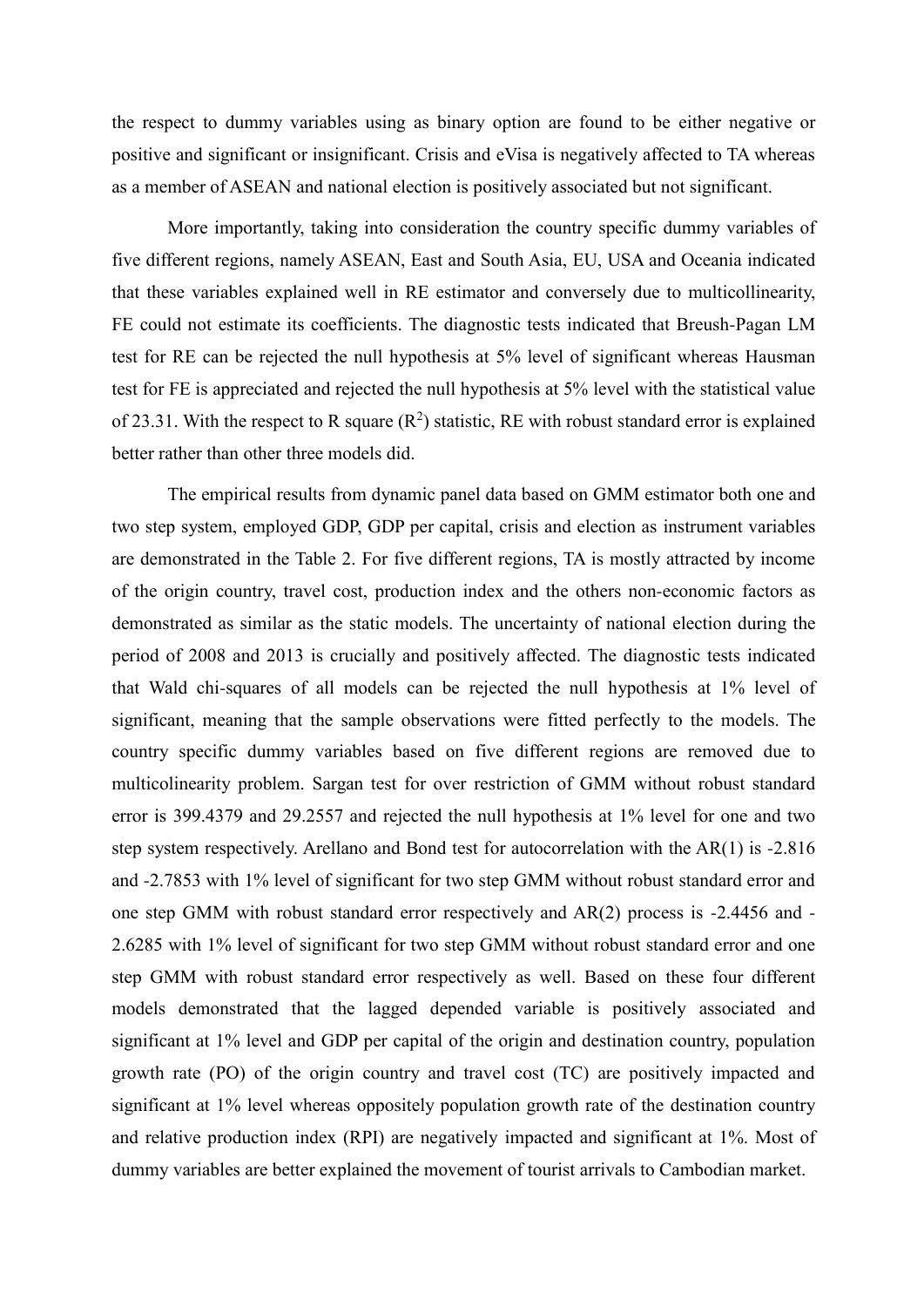the respect to dummy variables using as binary option are found to be either negative or positive and significant or insignificant. Crisis and eVisa is negatively affected to TA whereas as a member of ASEAN and national election is positively associated but not significant.

More importantly, taking into consideration the country specific dummy variables of five different regions, namely ASEAN, East and South Asia, EU, USA and Oceania indicated that these variables explained well in RE estimator and conversely due to multicollinearity, FE could not estimate its coefficients. The diagnostic tests indicated that Breush-Pagan LM test for RE can be rejected the null hypothesis at 5% level of significant whereas Hausman test for FE is appreciated and rejected the null hypothesis at 5% level with the statistical value of 23.31. With the respect to R square  $(R^2)$  statistic, RE with robust standard error is explained better rather than other three models did.

The empirical results from dynamic panel data based on GMM estimator both one and two step system, employed GDP, GDP per capital, crisis and election as instrument variables are demonstrated in the Table 2. For five different regions, TA is mostly attracted by income of the origin country, travel cost, production index and the others non-economic factors as demonstrated as similar as the static models. The uncertainty of national election during the period of 2008 and 2013 is crucially and positively affected. The diagnostic tests indicated that Wald chi-squares of all models can be rejected the null hypothesis at 1% level of significant, meaning that the sample observations were fitted perfectly to the models. The country specific dummy variables based on five different regions are removed due to multicolinearity problem. Sargan test for over restriction of GMM without robust standard error is 399.4379 and 29.2557 and rejected the null hypothesis at 1% level for one and two step system respectively. Arellano and Bond test for autocorrelation with the AR(1) is -2.816 and -2.7853 with 1% level of significant for two step GMM without robust standard error and one step GMM with robust standard error respectively and AR(2) process is -2.4456 and - 2.6285 with 1% level of significant for two step GMM without robust standard error and one step GMM with robust standard error respectively as well. Based on these four different models demonstrated that the lagged depended variable is positively associated and significant at 1% level and GDP per capital of the origin and destination country, population growth rate (PO) of the origin country and travel cost (TC) are positively impacted and significant at 1% level whereas oppositely population growth rate of the destination country and relative production index (RPI) are negatively impacted and significant at 1%. Most of dummy variables are better explained the movement of tourist arrivals to Cambodian market.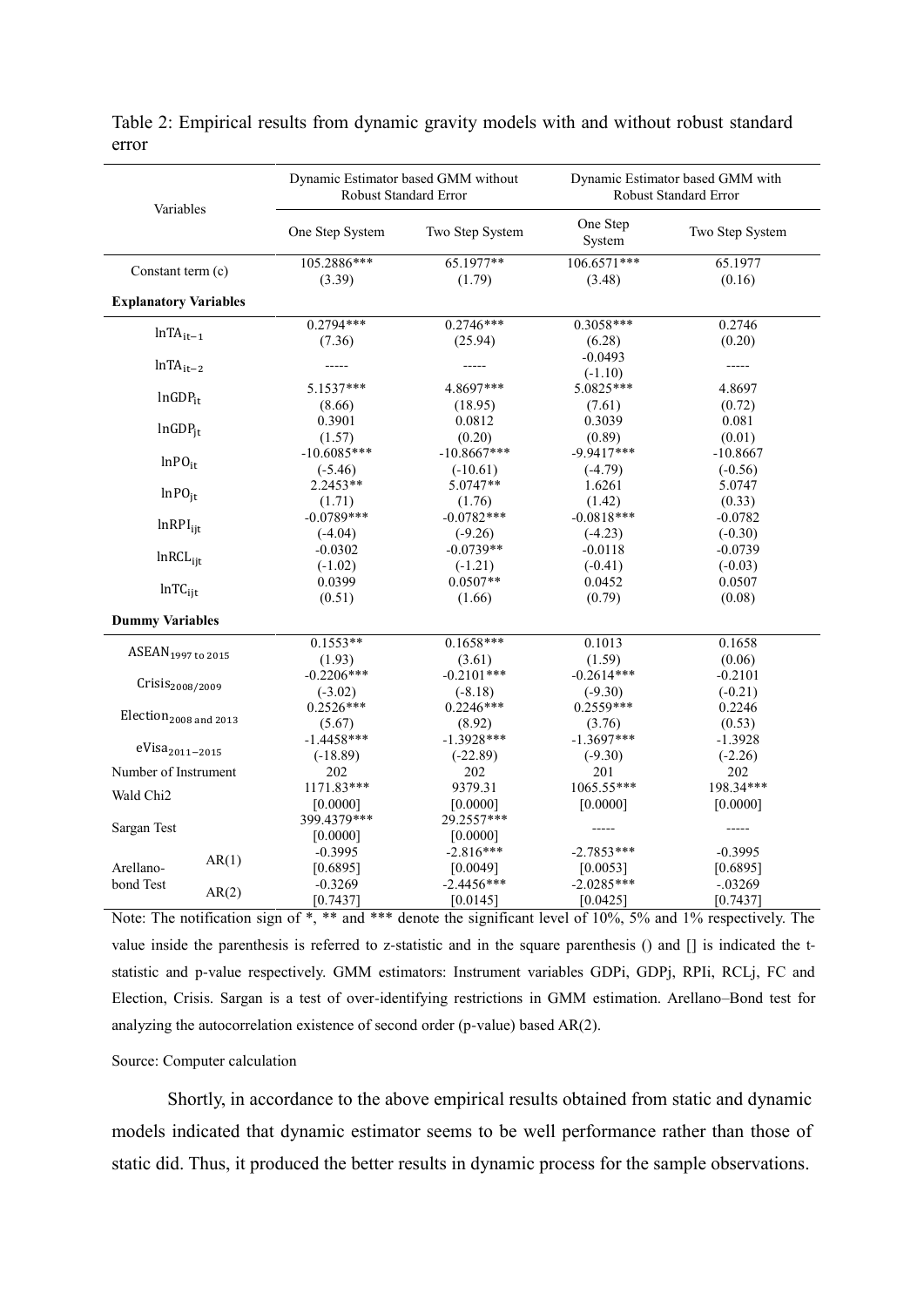| Variables                         | Dynamic Estimator based GMM without<br>Robust Standard Error |                        | Dynamic Estimator based GMM with<br>Robust Standard Error |                 |  |  |
|-----------------------------------|--------------------------------------------------------------|------------------------|-----------------------------------------------------------|-----------------|--|--|
|                                   | One Step System                                              | Two Step System        | One Step<br>System                                        | Two Step System |  |  |
| Constant term (c)                 | 105.2886***                                                  | 65.1977**              | 106.6571***                                               | 65.1977         |  |  |
|                                   | (3.39)                                                       | (1.79)                 | (3.48)                                                    | (0.16)          |  |  |
| <b>Explanatory Variables</b>      |                                                              |                        |                                                           |                 |  |  |
| $lnTA_{it-1}$                     | $0.2794***$                                                  | $0.2746***$            | $0.3058***$                                               | 0.2746          |  |  |
|                                   | (7.36)                                                       | (25.94)                | (6.28)                                                    | (0.20)          |  |  |
| $lnTA_{it-2}$                     |                                                              |                        | $-0.0493$<br>$(-1.10)$                                    | -----           |  |  |
| $ln GDP_{it}$                     | 5.1537***                                                    | 4.8697***              | 5.0825***                                                 | 4.8697          |  |  |
|                                   | (8.66)                                                       | (18.95)                | (7.61)                                                    | (0.72)          |  |  |
| $ln GDP_{it}$                     | 0.3901                                                       | 0.0812                 | 0.3039                                                    | 0.081           |  |  |
|                                   | (1.57)                                                       | (0.20)                 | (0.89)                                                    | (0.01)          |  |  |
| $lnPO_{it}$                       | $-10.6085***$                                                | $-10.8667***$          | $-9.9417***$                                              | $-10.8667$      |  |  |
|                                   | $(-5.46)$                                                    | $(-10.61)$             | $(-4.79)$                                                 | $(-0.56)$       |  |  |
| $lnPO_{it}$                       | 2.2453**                                                     | 5.0747**               | 1.6261                                                    | 5.0747          |  |  |
|                                   | (1.71)                                                       | (1.76)                 | (1.42)                                                    | (0.33)          |  |  |
| InRPI <sub>ii</sub>               | $-0.0789***$                                                 | $-0.0782***$           | $-0.0818***$                                              | $-0.0782$       |  |  |
|                                   | $(-4.04)$                                                    | $(-9.26)$              | $(-4.23)$                                                 | $(-0.30)$       |  |  |
| $ln RCL_{\text{iit}}$             | $-0.0302$                                                    | $-0.0739**$            | $-0.0118$                                                 | $-0.0739$       |  |  |
|                                   | $(-1.02)$                                                    | $(-1.21)$              | $(-0.41)$                                                 | $(-0.03)$       |  |  |
| $lnTC_{ijt}$                      | 0.0399                                                       | $0.0507**$             | 0.0452                                                    | 0.0507          |  |  |
|                                   | (0.51)                                                       | (1.66)                 | (0.79)                                                    | (0.08)          |  |  |
| <b>Dummy Variables</b>            |                                                              |                        |                                                           |                 |  |  |
| ASEAN <sub>1997 to 2015</sub>     | $0.1553**$                                                   | $0.1658***$            | 0.1013                                                    | 0.1658          |  |  |
|                                   | (1.93)                                                       | (3.61)                 | (1.59)                                                    | (0.06)          |  |  |
|                                   | $-0.2206***$                                                 | $-0.2101***$           | $-0.2614***$                                              | $-0.2101$       |  |  |
| Crisis <sub>2008/2009</sub>       | $(-3.02)$                                                    | $(-8.18)$              | $(-9.30)$                                                 | $(-0.21)$       |  |  |
|                                   | $0.2526***$                                                  | $0.2246***$            | $0.2559***$                                               | 0.2246          |  |  |
| Election <sub>2008</sub> and 2013 | (5.67)                                                       | (8.92)                 | (3.76)                                                    | (0.53)          |  |  |
|                                   | $-1.4458***$                                                 | $-1.3928***$           | $-1.3697***$                                              | $-1.3928$       |  |  |
| eVisa <sub>2011-2015</sub>        | $(-18.89)$                                                   | $(-22.89)$             | $(-9.30)$                                                 | $(-2.26)$       |  |  |
| Number of Instrument              | 202                                                          | 202                    | 201                                                       | 202             |  |  |
| Wald Chi <sub>2</sub>             | 1171.83***                                                   | 9379.31                | 1065.55***                                                | 198.34***       |  |  |
|                                   | [0.0000]                                                     | [0.0000]               | [0.0000]                                                  | [0.0000]        |  |  |
| Sargan Test                       | 399.4379***<br>[0.0000]                                      | 29.2557***<br>[0.0000] |                                                           | -----           |  |  |
| AR(1)                             | $-0.3995$                                                    | $-2.816***$            | $-2.7853***$                                              | $-0.3995$       |  |  |
| Arellano-                         | [0.6895]                                                     | [0.0049]               | [0.0053]                                                  | [0.6895]        |  |  |
| bond Test                         | $-0.3269$                                                    | $-2.4456***$           | $-2.0285***$                                              | $-.03269$       |  |  |
| AR(2)                             | [0.7437]                                                     | [0.0145]               | [0.0425]                                                  | [0.7437]        |  |  |

#### Table 2: Empirical results from dynamic gravity models with and without robust standard error

Note: The notification sign of \*, \*\* and \*\*\* denote the significant level of 10%, 5% and 1% respectively. The value inside the parenthesis is referred to z-statistic and in the square parenthesis () and [] is indicated the tstatistic and p-value respectively. GMM estimators: Instrument variables GDPi, GDPj, RPIi, RCLj, FC and Election, Crisis. Sargan is a test of over-identifying restrictions in GMM estimation. Arellano–Bond test for analyzing the autocorrelation existence of second order (p-value) based AR(2).

#### Source: Computer calculation

Shortly, in accordance to the above empirical results obtained from static and dynamic models indicated that dynamic estimator seems to be well performance rather than those of static did. Thus, it produced the better results in dynamic process for the sample observations.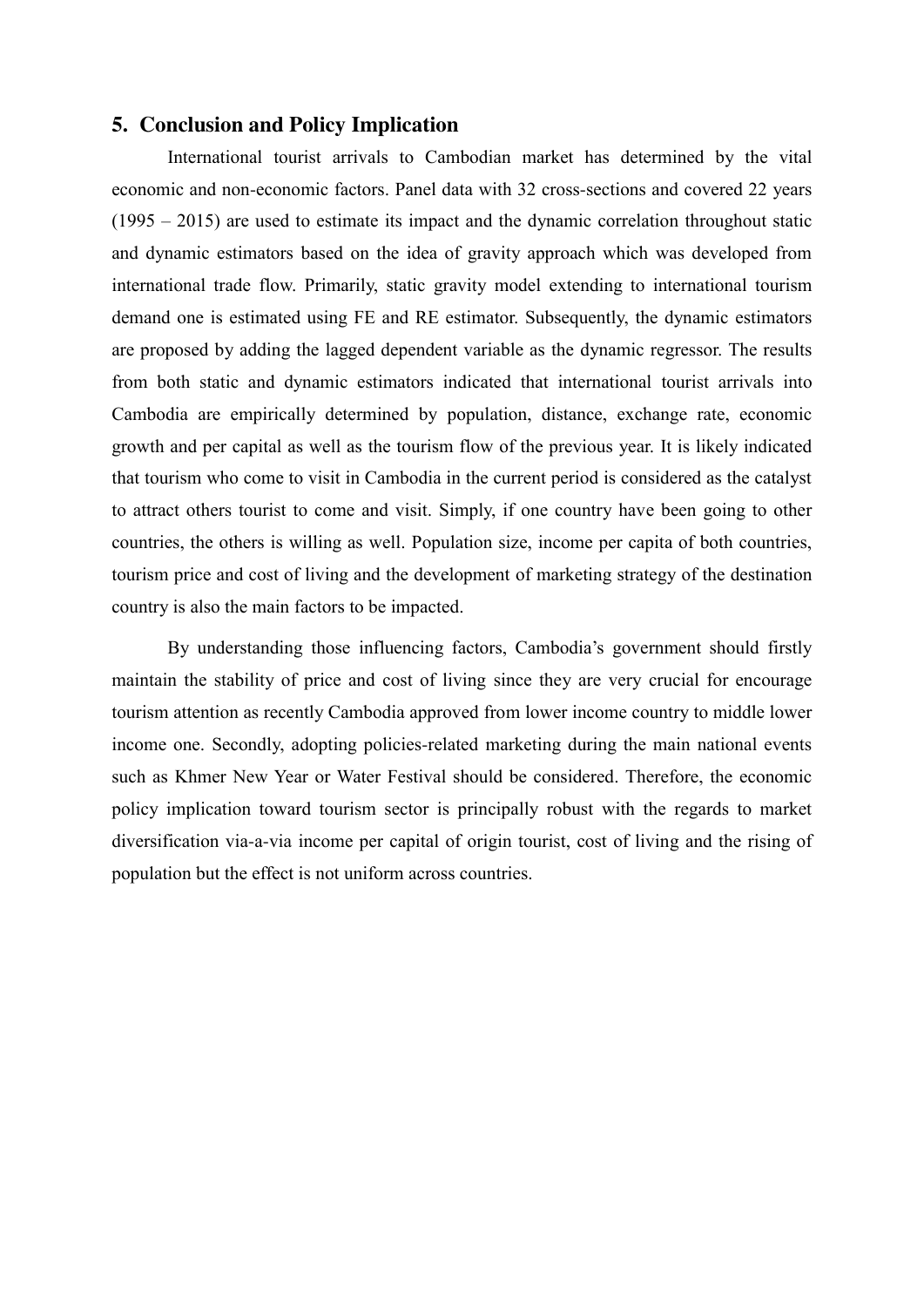#### **5. Conclusion and Policy Implication**

International tourist arrivals to Cambodian market has determined by the vital economic and non-economic factors. Panel data with 32 cross-sections and covered 22 years (1995 – 2015) are used to estimate its impact and the dynamic correlation throughout static and dynamic estimators based on the idea of gravity approach which was developed from international trade flow. Primarily, static gravity model extending to international tourism demand one is estimated using FE and RE estimator. Subsequently, the dynamic estimators are proposed by adding the lagged dependent variable as the dynamic regressor. The results from both static and dynamic estimators indicated that international tourist arrivals into Cambodia are empirically determined by population, distance, exchange rate, economic growth and per capital as well as the tourism flow of the previous year. It is likely indicated that tourism who come to visit in Cambodia in the current period is considered as the catalyst to attract others tourist to come and visit. Simply, if one country have been going to other countries, the others is willing as well. Population size, income per capita of both countries, tourism price and cost of living and the development of marketing strategy of the destination country is also the main factors to be impacted.

By understanding those influencing factors, Cambodia's government should firstly maintain the stability of price and cost of living since they are very crucial for encourage tourism attention as recently Cambodia approved from lower income country to middle lower income one. Secondly, adopting policies-related marketing during the main national events such as Khmer New Year or Water Festival should be considered. Therefore, the economic policy implication toward tourism sector is principally robust with the regards to market diversification via-a-via income per capital of origin tourist, cost of living and the rising of population but the effect is not uniform across countries.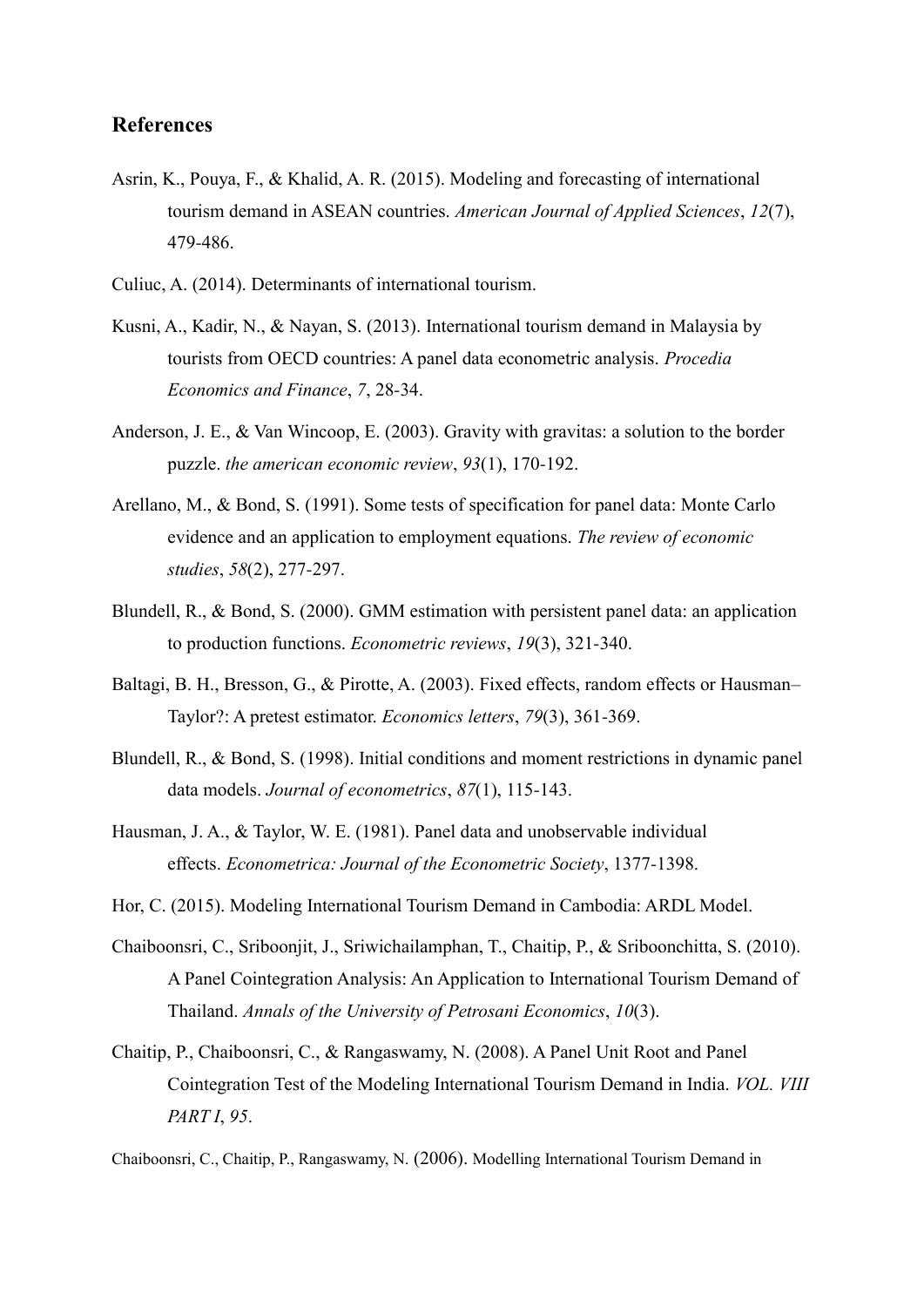# **References**

- Asrin, K., Pouya, F., & Khalid, A. R. (2015). Modeling and forecasting of international tourism demand in ASEAN countries. *American Journal of Applied Sciences*, *12*(7), 479-486.
- Culiuc, A. (2014). Determinants of international tourism.
- Kusni, A., Kadir, N., & Nayan, S. (2013). International tourism demand in Malaysia by tourists from OECD countries: A panel data econometric analysis. *Procedia Economics and Finance*, *7*, 28-34.
- Anderson, J. E., & Van Wincoop, E. (2003). Gravity with gravitas: a solution to the border puzzle. *the american economic review*, *93*(1), 170-192.
- Arellano, M., & Bond, S. (1991). Some tests of specification for panel data: Monte Carlo evidence and an application to employment equations. *The review of economic studies*, *58*(2), 277-297.
- Blundell, R., & Bond, S. (2000). GMM estimation with persistent panel data: an application to production functions. *Econometric reviews*, *19*(3), 321-340.
- Baltagi, B. H., Bresson, G., & Pirotte, A. (2003). Fixed effects, random effects or Hausman– Taylor?: A pretest estimator. *Economics letters*, *79*(3), 361-369.
- Blundell, R., & Bond, S. (1998). Initial conditions and moment restrictions in dynamic panel data models. *Journal of econometrics*, *87*(1), 115-143.
- Hausman, J. A., & Taylor, W. E. (1981). Panel data and unobservable individual effects. *Econometrica: Journal of the Econometric Society*, 1377-1398.
- Hor, C. (2015). Modeling International Tourism Demand in Cambodia: ARDL Model.
- Chaiboonsri, C., Sriboonjit, J., Sriwichailamphan, T., Chaitip, P., & Sriboonchitta, S. (2010). A Panel Cointegration Analysis: An Application to International Tourism Demand of Thailand. *Annals of the University of Petrosani Economics*, *10*(3).
- Chaitip, P., Chaiboonsri, C., & Rangaswamy, N. (2008). A Panel Unit Root and Panel Cointegration Test of the Modeling International Tourism Demand in India. *VOL. VIII PART I*, *95*.

Chaiboonsri, C., Chaitip, P., Rangaswamy, N. (2006). Modelling International Tourism Demand in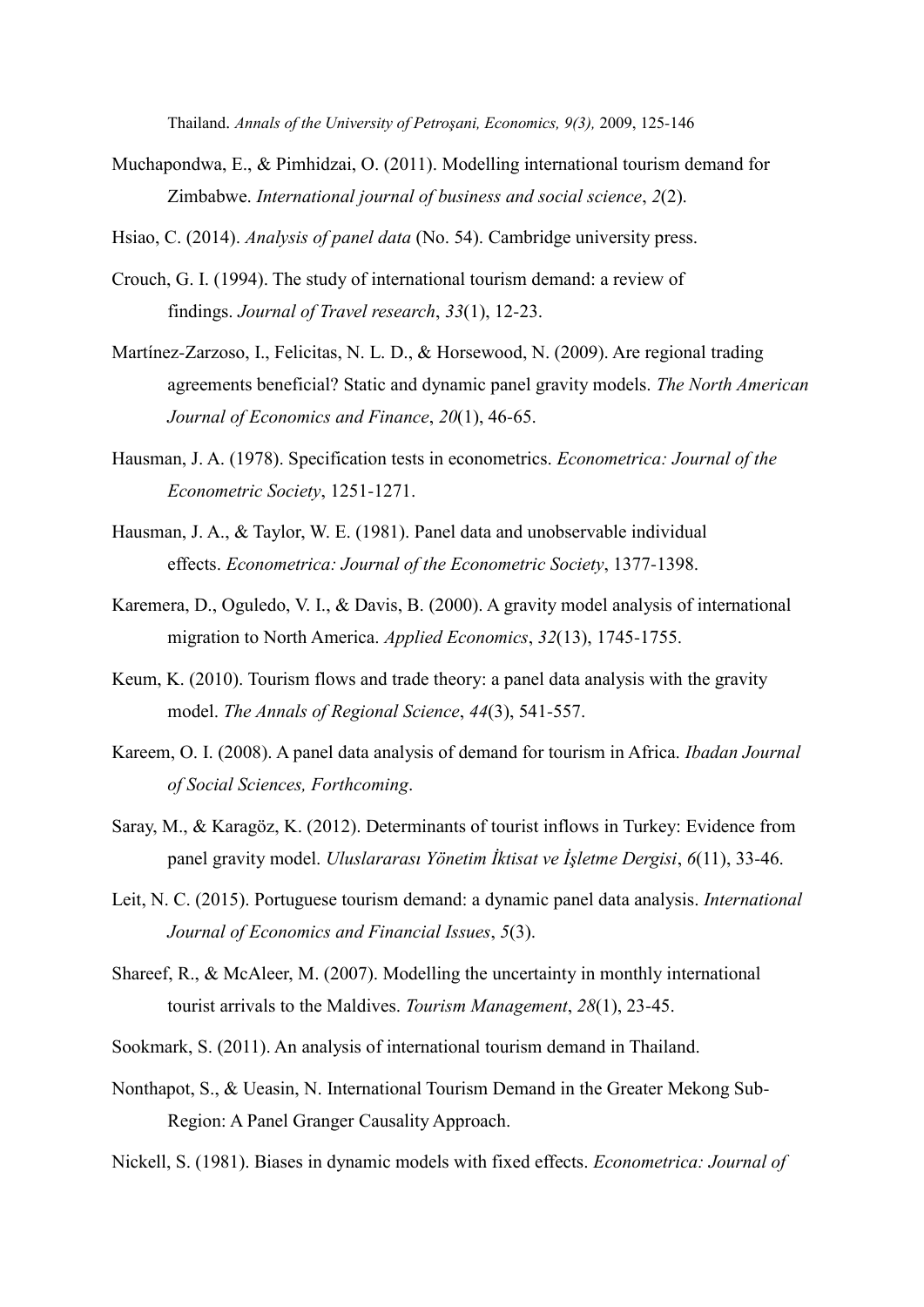Thailand. *Annals of the University of Petroşani, Economics, 9(3),* 2009, 125-146

- Muchapondwa, E., & Pimhidzai, O. (2011). Modelling international tourism demand for Zimbabwe. *International journal of business and social science*, *2*(2).
- Hsiao, C. (2014). *Analysis of panel data* (No. 54). Cambridge university press.
- Crouch, G. I. (1994). The study of international tourism demand: a review of findings. *Journal of Travel research*, *33*(1), 12-23.
- Martínez-Zarzoso, I., Felicitas, N. L. D., & Horsewood, N. (2009). Are regional trading agreements beneficial? Static and dynamic panel gravity models. *The North American Journal of Economics and Finance*, *20*(1), 46-65.
- Hausman, J. A. (1978). Specification tests in econometrics. *Econometrica: Journal of the Econometric Society*, 1251-1271.
- Hausman, J. A., & Taylor, W. E. (1981). Panel data and unobservable individual effects. *Econometrica: Journal of the Econometric Society*, 1377-1398.
- Karemera, D., Oguledo, V. I., & Davis, B. (2000). A gravity model analysis of international migration to North America. *Applied Economics*, *32*(13), 1745-1755.
- Keum, K. (2010). Tourism flows and trade theory: a panel data analysis with the gravity model. *The Annals of Regional Science*, *44*(3), 541-557.
- Kareem, O. I. (2008). A panel data analysis of demand for tourism in Africa. *Ibadan Journal of Social Sciences, Forthcoming*.
- Saray, M., & Karagöz, K. (2012). Determinants of tourist inflows in Turkey: Evidence from panel gravity model. *Uluslararası Yönetim İktisat ve İşletme Dergisi*, *6*(11), 33-46.
- Leit, N. C. (2015). Portuguese tourism demand: a dynamic panel data analysis. *International Journal of Economics and Financial Issues*, *5*(3).
- Shareef, R., & McAleer, M. (2007). Modelling the uncertainty in monthly international tourist arrivals to the Maldives. *Tourism Management*, *28*(1), 23-45.
- Sookmark, S. (2011). An analysis of international tourism demand in Thailand.
- Nonthapot, S., & Ueasin, N. International Tourism Demand in the Greater Mekong Sub-Region: A Panel Granger Causality Approach.
- Nickell, S. (1981). Biases in dynamic models with fixed effects. *Econometrica: Journal of*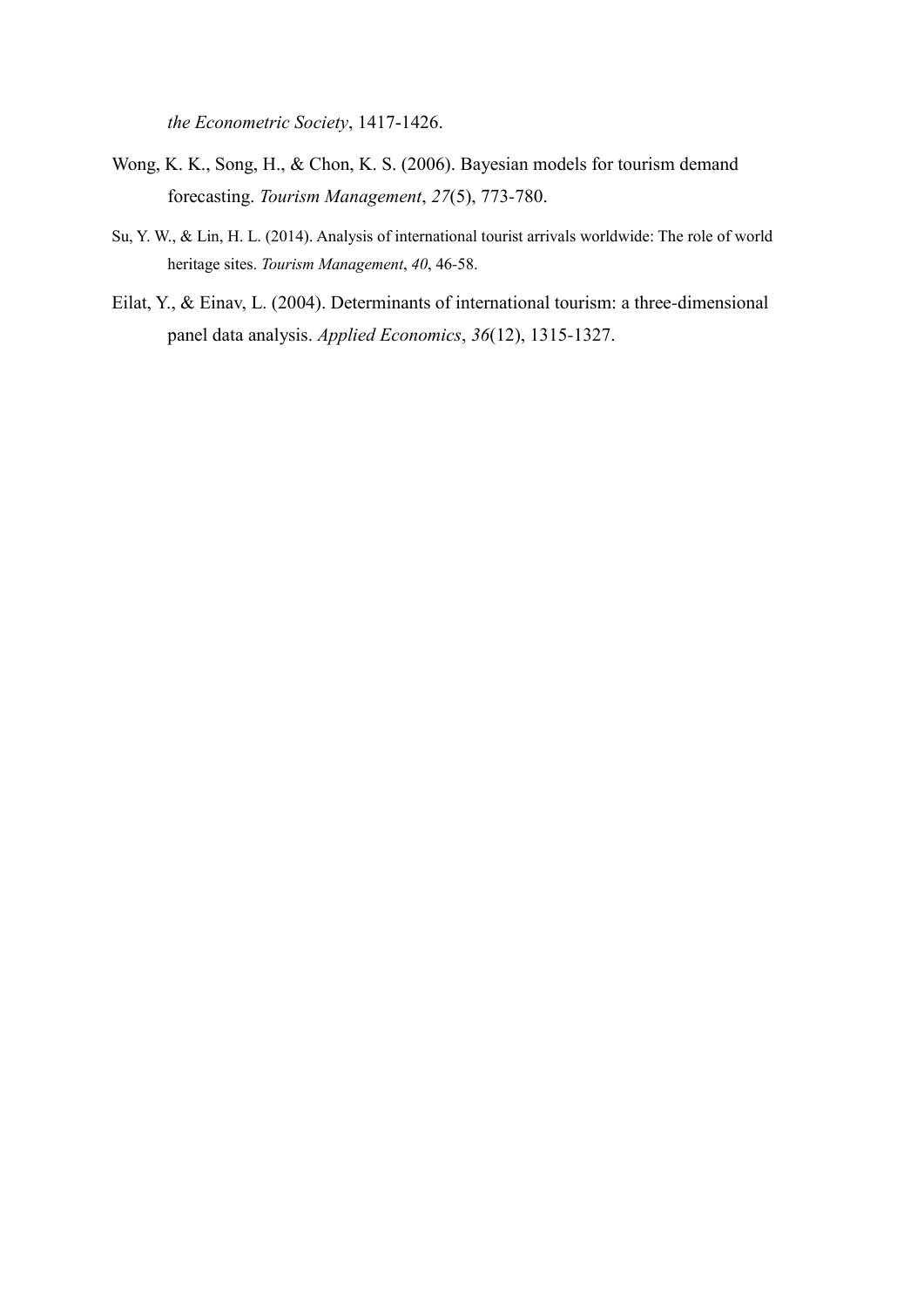*the Econometric Society*, 1417-1426.

- Wong, K. K., Song, H., & Chon, K. S. (2006). Bayesian models for tourism demand forecasting. *Tourism Management*, *27*(5), 773-780.
- Su, Y. W., & Lin, H. L. (2014). Analysis of international tourist arrivals worldwide: The role of world heritage sites. *Tourism Management*, *40*, 46-58.
- Eilat, Y., & Einav, L. (2004). Determinants of international tourism: a three-dimensional panel data analysis. *Applied Economics*, *36*(12), 1315-1327.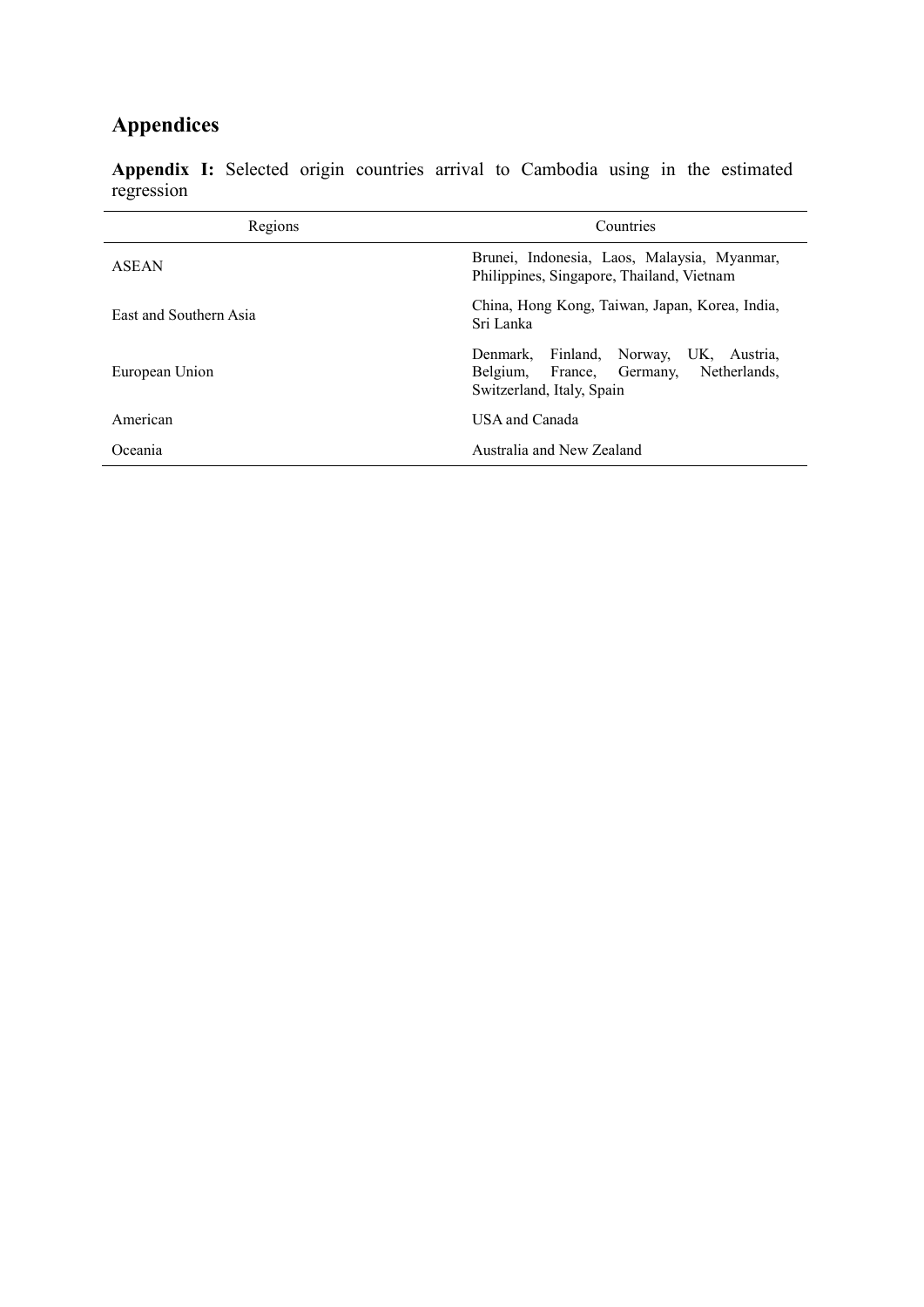# **Appendices**

|            |  |  |  | Appendix I: Selected origin countries arrival to Cambodia using in the estimated |  |  |
|------------|--|--|--|----------------------------------------------------------------------------------|--|--|
| regression |  |  |  |                                                                                  |  |  |

| Regions                | Countries                                                                                                              |  |  |  |  |
|------------------------|------------------------------------------------------------------------------------------------------------------------|--|--|--|--|
| <b>ASEAN</b>           | Brunei, Indonesia, Laos, Malaysia, Myanmar,<br>Philippines, Singapore, Thailand, Vietnam                               |  |  |  |  |
| East and Southern Asia | China, Hong Kong, Taiwan, Japan, Korea, India,<br>Sri Lanka                                                            |  |  |  |  |
| European Union         | Finland, Norway,<br>UK, Austria,<br>Denmark.<br>Netherlands.<br>Belgium, France, Germany,<br>Switzerland, Italy, Spain |  |  |  |  |
| American               | USA and Canada                                                                                                         |  |  |  |  |
| Oceania                | Australia and New Zealand                                                                                              |  |  |  |  |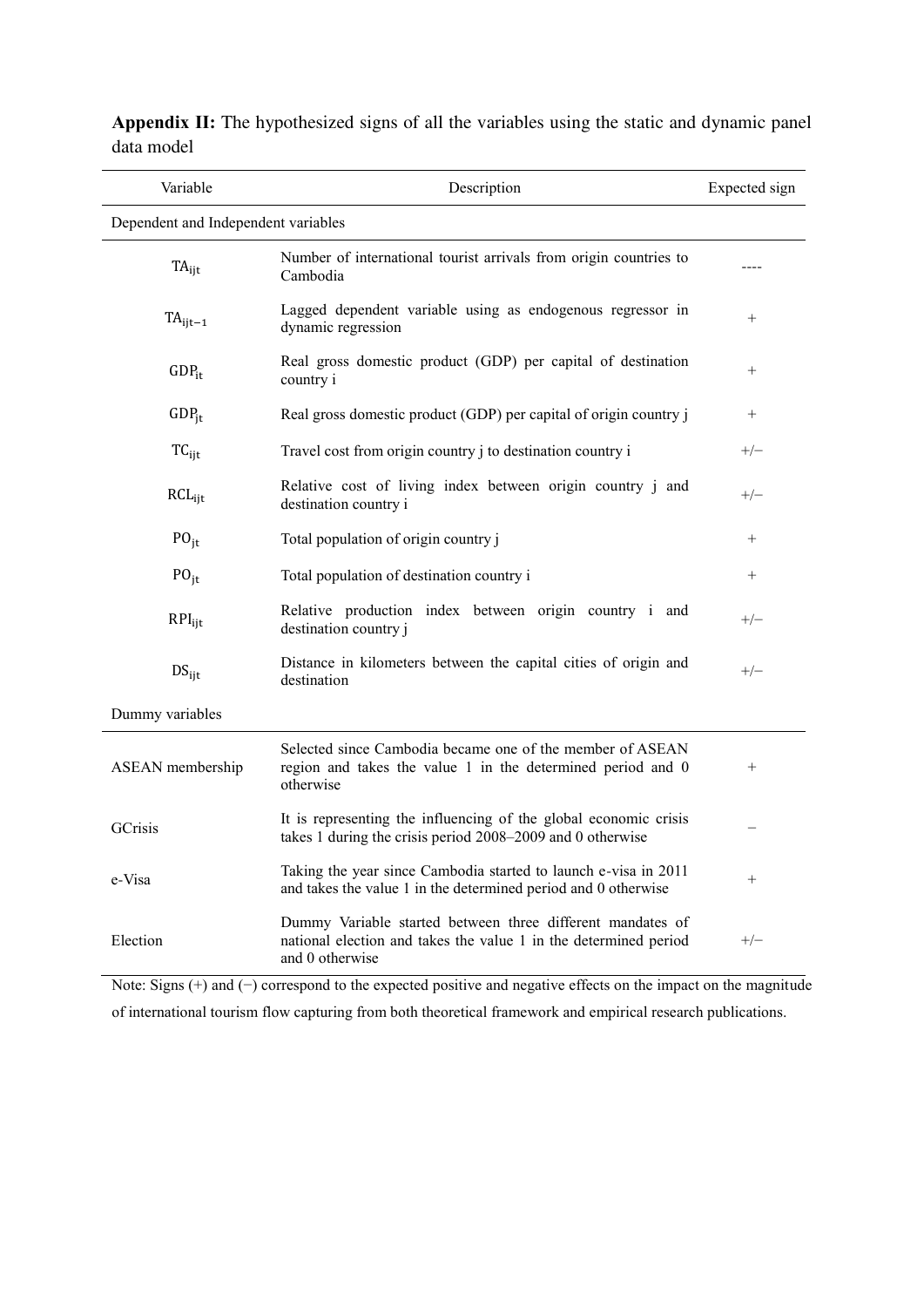| Variable                            | Description                                                                                                                                       | Expected sign |  |  |  |  |  |
|-------------------------------------|---------------------------------------------------------------------------------------------------------------------------------------------------|---------------|--|--|--|--|--|
| Dependent and Independent variables |                                                                                                                                                   |               |  |  |  |  |  |
| $TA_{\text{ijt}}$                   | Number of international tourist arrivals from origin countries to<br>Cambodia                                                                     |               |  |  |  |  |  |
| $\texttt{TA}_{\texttt{ijt}-1}$      | Lagged dependent variable using as endogenous regressor in<br>dynamic regression                                                                  | $^{+}$        |  |  |  |  |  |
| $GDP_{it}$                          | Real gross domestic product (GDP) per capital of destination<br>country i                                                                         | $^{+}$        |  |  |  |  |  |
| $GDP_{it}$                          | Real gross domestic product (GDP) per capital of origin country i                                                                                 | $^{+}$        |  |  |  |  |  |
| $TC_{ijt}$                          | Travel cost from origin country j to destination country i                                                                                        | $+/-$         |  |  |  |  |  |
| $RCL_{ijt}$                         | Relative cost of living index between origin country j and<br>destination country i                                                               | $+/-$         |  |  |  |  |  |
| $PO_{it}$                           | Total population of origin country j                                                                                                              | $^{+}$        |  |  |  |  |  |
| $PO_{it}$                           | Total population of destination country i                                                                                                         | $^{+}$        |  |  |  |  |  |
| $RPI_{\text{lit}}$                  | Relative production index between origin country i and<br>destination country j                                                                   | $+/-$         |  |  |  |  |  |
| $DS_{ijt}$                          | Distance in kilometers between the capital cities of origin and<br>destination                                                                    | $+/-$         |  |  |  |  |  |
| Dummy variables                     |                                                                                                                                                   |               |  |  |  |  |  |
| ASEAN membership                    | Selected since Cambodia became one of the member of ASEAN<br>region and takes the value 1 in the determined period and 0<br>otherwise             | $^{+}$        |  |  |  |  |  |
| <b>GCrisis</b>                      | It is representing the influencing of the global economic crisis<br>takes 1 during the crisis period 2008–2009 and 0 otherwise                    |               |  |  |  |  |  |
| e-Visa                              | Taking the year since Cambodia started to launch e-visa in 2011<br>and takes the value 1 in the determined period and 0 otherwise                 | $+$           |  |  |  |  |  |
| Election                            | Dummy Variable started between three different mandates of<br>national election and takes the value 1 in the determined period<br>and 0 otherwise | $+/-$         |  |  |  |  |  |

**Appendix II:** The hypothesized signs of all the variables using the static and dynamic panel data model

Note: Signs (+) and (−) correspond to the expected positive and negative effects on the impact on the magnitude of international tourism flow capturing from both theoretical framework and empirical research publications.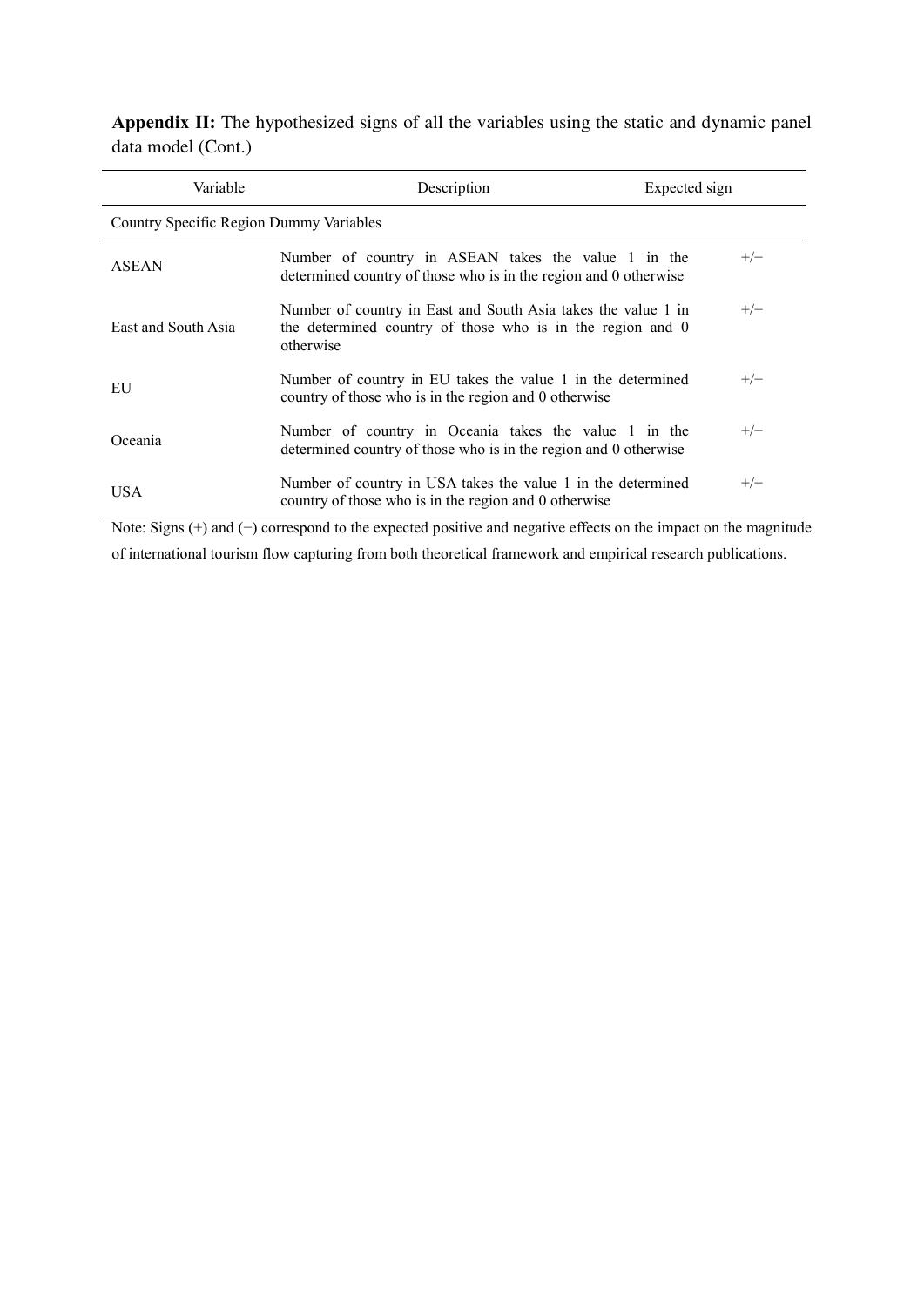**Appendix II:** The hypothesized signs of all the variables using the static and dynamic panel data model (Cont.)

| Variable                                | Description                                                                                                                              | Expected sign |  |  |  |  |  |  |
|-----------------------------------------|------------------------------------------------------------------------------------------------------------------------------------------|---------------|--|--|--|--|--|--|
| Country Specific Region Dummy Variables |                                                                                                                                          |               |  |  |  |  |  |  |
| <b>ASEAN</b>                            | Number of country in ASEAN takes the value 1 in the<br>determined country of those who is in the region and 0 otherwise                  | $+/-$         |  |  |  |  |  |  |
| East and South Asia                     | Number of country in East and South Asia takes the value 1 in<br>the determined country of those who is in the region and 0<br>otherwise | $+/-$         |  |  |  |  |  |  |
| EU                                      | Number of country in EU takes the value 1 in the determined<br>country of those who is in the region and 0 otherwise                     | $+/-$         |  |  |  |  |  |  |
| Oceania                                 | Number of country in Oceania takes the value 1 in the<br>determined country of those who is in the region and 0 otherwise                | $+/-$         |  |  |  |  |  |  |
| <b>USA</b>                              | Number of country in USA takes the value 1 in the determined<br>country of those who is in the region and 0 otherwise                    | $+/-$         |  |  |  |  |  |  |

Note: Signs (+) and (−) correspond to the expected positive and negative effects on the impact on the magnitude

of international tourism flow capturing from both theoretical framework and empirical research publications.